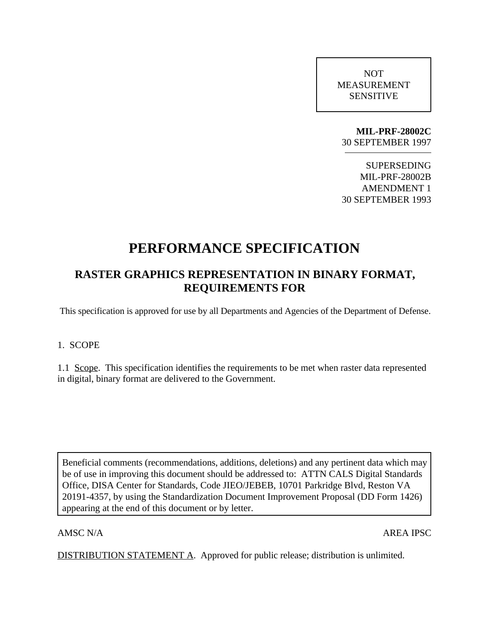NOT MEASUREMENT SENSITIVE

**MIL-PRF-28002C** 30 SEPTEMBER 1997

SUPERSEDING MIL-PRF-28002B AMENDMENT 1 30 SEPTEMBER 1993

# **PERFORMANCE SPECIFICATION**

## **RASTER GRAPHICS REPRESENTATION IN BINARY FORMAT, REQUIREMENTS FOR**

This specification is approved for use by all Departments and Agencies of the Department of Defense.

### 1. SCOPE

1.1 Scope. This specification identifies the requirements to be met when raster data represented in digital, binary format are delivered to the Government.

Beneficial comments (recommendations, additions, deletions) and any pertinent data which may be of use in improving this document should be addressed to: ATTN CALS Digital Standards Office, DISA Center for Standards, Code JIEO/JEBEB, 10701 Parkridge Blvd, Reston VA 20191-4357, by using the Standardization Document Improvement Proposal (DD Form 1426) appearing at the end of this document or by letter.

AMSC N/A AREA IPSC

DISTRIBUTION STATEMENT A. Approved for public release; distribution is unlimited.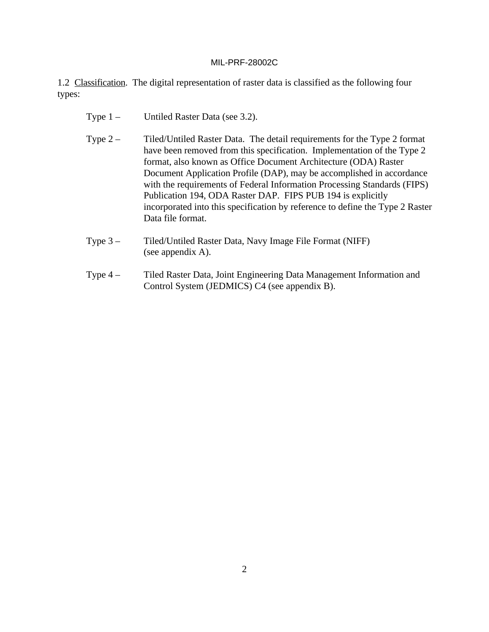1.2 Classification. The digital representation of raster data is classified as the following four types:

- Type 1 Untiled Raster Data (see 3.2).
- Type 2 Tiled/Untiled Raster Data. The detail requirements for the Type 2 format have been removed from this specification. Implementation of the Type 2 format, also known as Office Document Architecture (ODA) Raster Document Application Profile (DAP), may be accomplished in accordance with the requirements of Federal Information Processing Standards (FIPS) Publication 194, ODA Raster DAP. FIPS PUB 194 is explicitly incorporated into this specification by reference to define the Type 2 Raster Data file format.
- Type 3 Tiled/Untiled Raster Data, Navy Image File Format (NIFF) (see appendix A).
- Type 4 Tiled Raster Data, Joint Engineering Data Management Information and Control System (JEDMICS) C4 (see appendix B).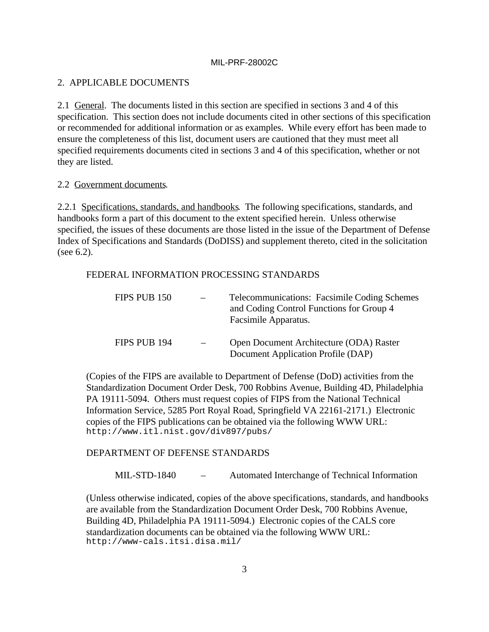### 2. APPLICABLE DOCUMENTS

2.1 General. The documents listed in this section are specified in sections 3 and 4 of this specification. This section does not include documents cited in other sections of this specification or recommended for additional information or as examples. While every effort has been made to ensure the completeness of this list, document users are cautioned that they must meet all specified requirements documents cited in sections 3 and 4 of this specification, whether or not they are listed.

### 2.2 Government documents.

2.2.1 Specifications, standards, and handbooks. The following specifications, standards, and handbooks form a part of this document to the extent specified herein. Unless otherwise specified, the issues of these documents are those listed in the issue of the Department of Defense Index of Specifications and Standards (DoDISS) and supplement thereto, cited in the solicitation (see 6.2).

### FEDERAL INFORMATION PROCESSING STANDARDS

| FIPS PUB 150 | Telecommunications: Facsimile Coding Schemes<br>and Coding Control Functions for Group 4<br>Facsimile Apparatus. |
|--------------|------------------------------------------------------------------------------------------------------------------|
| FIPS PUB 194 | Open Document Architecture (ODA) Raster<br>Document Application Profile (DAP)                                    |

(Copies of the FIPS are available to Department of Defense (DoD) activities from the Standardization Document Order Desk, 700 Robbins Avenue, Building 4D, Philadelphia PA 19111-5094. Others must request copies of FIPS from the National Technical Information Service, 5285 Port Royal Road, Springfield VA 22161-2171.) Electronic copies of the FIPS publications can be obtained via the following WWW URL: http://www.itl.nist.gov/div897/pubs/

### DEPARTMENT OF DEFENSE STANDARDS

MIL-STD-1840 – Automated Interchange of Technical Information

(Unless otherwise indicated, copies of the above specifications, standards, and handbooks are available from the Standardization Document Order Desk, 700 Robbins Avenue, Building 4D, Philadelphia PA 19111-5094.) Electronic copies of the CALS core standardization documents can be obtained via the following WWW URL: http://www-cals.itsi.disa.mil/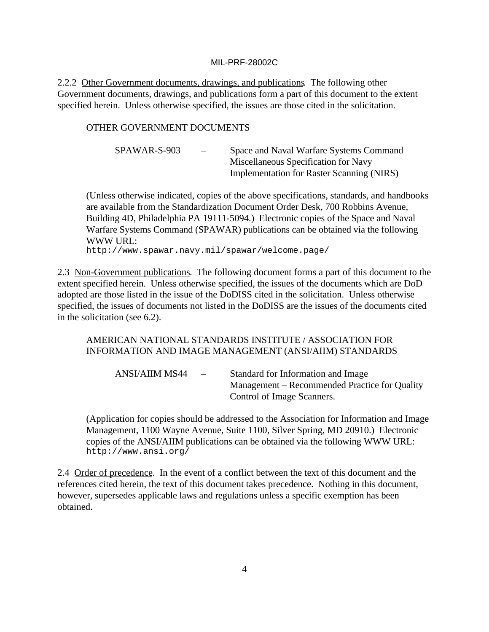2.2.2 Other Government documents, drawings, and publications. The following other Government documents, drawings, and publications form a part of this document to the extent specified herein. Unless otherwise specified, the issues are those cited in the solicitation.

### OTHER GOVERNMENT DOCUMENTS

| SPAWAR-S-903 | $\overline{\phantom{a}}$ | Space and Naval Warfare Systems Command   |
|--------------|--------------------------|-------------------------------------------|
|              |                          | Miscellaneous Specification for Navy      |
|              |                          | Implementation for Raster Scanning (NIRS) |

(Unless otherwise indicated, copies of the above specifications, standards, and handbooks are available from the Standardization Document Order Desk, 700 Robbins Avenue, Building 4D, Philadelphia PA 19111-5094.) Electronic copies of the Space and Naval Warfare Systems Command (SPAWAR) publications can be obtained via the following WWW URL:

http://www.spawar.navy.mil/spawar/welcome.page/

2.3 Non-Government publications. The following document forms a part of this document to the extent specified herein. Unless otherwise specified, the issues of the documents which are DoD adopted are those listed in the issue of the DoDISS cited in the solicitation. Unless otherwise specified, the issues of documents not listed in the DoDISS are the issues of the documents cited in the solicitation (see 6.2).

### AMERICAN NATIONAL STANDARDS INSTITUTE / ASSOCIATION FOR INFORMATION AND IMAGE MANAGEMENT (ANSI/AIIM) STANDARDS

ANSI/AIIM MS44 – Standard for Information and Image Management – Recommended Practice for Quality Control of Image Scanners.

(Application for copies should be addressed to the Association for Information and Image Management, 1100 Wayne Avenue, Suite 1100, Silver Spring, MD 20910.) Electronic copies of the ANSI/AIIM publications can be obtained via the following WWW URL: http://www.ansi.org/

2.4 Order of precedence. In the event of a conflict between the text of this document and the references cited herein, the text of this document takes precedence. Nothing in this document, however, supersedes applicable laws and regulations unless a specific exemption has been obtained.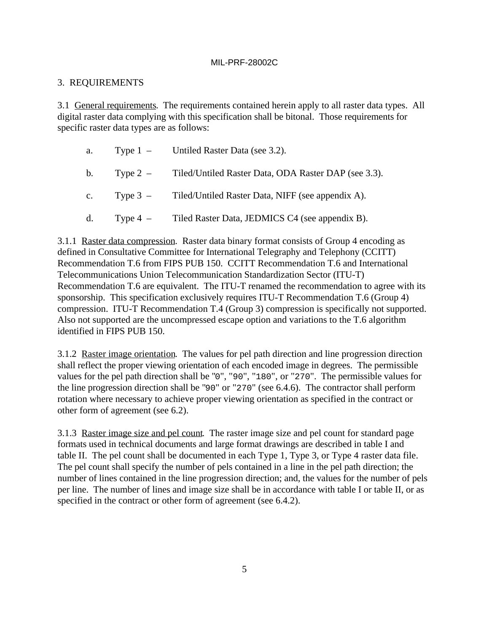### 3. REQUIREMENTS

3.1 General requirements. The requirements contained herein apply to all raster data types. All digital raster data complying with this specification shall be bitonal. Those requirements for specific raster data types are as follows:

|  | a. Type $1 -$ Untiled Raster Data (see 3.2).                     |
|--|------------------------------------------------------------------|
|  | b. Type 2 – Tiled/Untiled Raster Data, ODA Raster DAP (see 3.3). |
|  | c. Type 3 – Tiled/Untiled Raster Data, NIFF (see appendix A).    |
|  | d. Type $4 -$ Tiled Raster Data, JEDMICS C4 (see appendix B).    |

3.1.1 Raster data compression. Raster data binary format consists of Group 4 encoding as defined in Consultative Committee for International Telegraphy and Telephony (CCITT) Recommendation T.6 from FIPS PUB 150. CCITT Recommendation T.6 and International Telecommunications Union Telecommunication Standardization Sector (ITU-T) Recommendation T.6 are equivalent. The ITU-T renamed the recommendation to agree with its sponsorship. This specification exclusively requires ITU-T Recommendation T.6 (Group 4) compression. ITU-T Recommendation T.4 (Group 3) compression is specifically not supported. Also not supported are the uncompressed escape option and variations to the T.6 algorithm identified in FIPS PUB 150.

3.1.2 Raster image orientation. The values for pel path direction and line progression direction shall reflect the proper viewing orientation of each encoded image in degrees. The permissible values for the pel path direction shall be "0", "90", "180", or "270". The permissible values for the line progression direction shall be "90" or "270" (see 6.4.6). The contractor shall perform rotation where necessary to achieve proper viewing orientation as specified in the contract or other form of agreement (see 6.2).

3.1.3 Raster image size and pel count. The raster image size and pel count for standard page formats used in technical documents and large format drawings are described in table I and table II. The pel count shall be documented in each Type 1, Type 3, or Type 4 raster data file. The pel count shall specify the number of pels contained in a line in the pel path direction; the number of lines contained in the line progression direction; and, the values for the number of pels per line. The number of lines and image size shall be in accordance with table I or table II, or as specified in the contract or other form of agreement (see 6.4.2).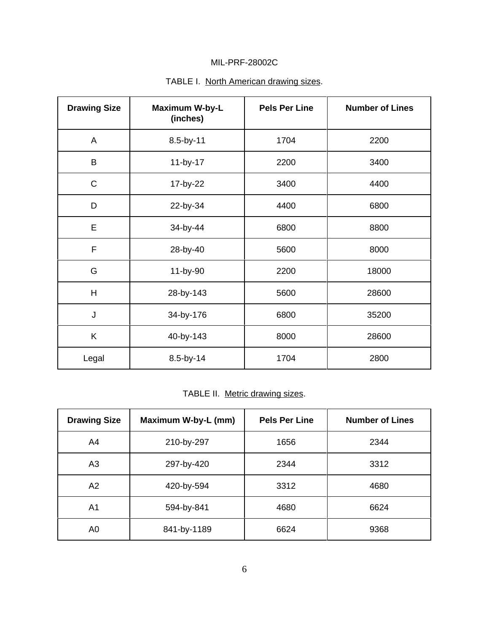| <b>Drawing Size</b> | <b>Maximum W-by-L</b><br>(inches) | <b>Pels Per Line</b> | <b>Number of Lines</b> |
|---------------------|-----------------------------------|----------------------|------------------------|
| A                   | 8.5-by-11                         | 1704                 | 2200                   |
| B                   | 11-by-17                          | 2200                 | 3400                   |
| C                   | 17-by-22                          | 3400                 | 4400                   |
| D                   | 22-by-34                          | 4400                 | 6800                   |
| E                   | 34-by-44                          | 6800                 | 8800                   |
| $\mathsf F$         | 28-by-40                          | 5600                 | 8000                   |
| G                   | 11-by-90                          | 2200                 | 18000                  |
| $\overline{H}$      | 28-by-143                         | 5600                 | 28600                  |
| J                   | 34-by-176                         | 6800                 | 35200                  |
| K                   | 40-by-143                         | 8000                 | 28600                  |
| Legal               | 8.5-by-14                         | 1704                 | 2800                   |

## TABLE I. North American drawing sizes.

TABLE II. Metric drawing sizes.

| <b>Drawing Size</b> | Maximum W-by-L (mm) | <b>Pels Per Line</b> | <b>Number of Lines</b> |
|---------------------|---------------------|----------------------|------------------------|
| A4                  | 210-by-297          | 1656                 | 2344                   |
| A3                  | 297-by-420          | 2344                 | 3312                   |
| A2                  | 420-by-594          | 3312                 | 4680                   |
| A <sub>1</sub>      | 594-by-841          | 4680                 | 6624                   |
| A <sub>0</sub>      | 841-by-1189         | 6624                 | 9368                   |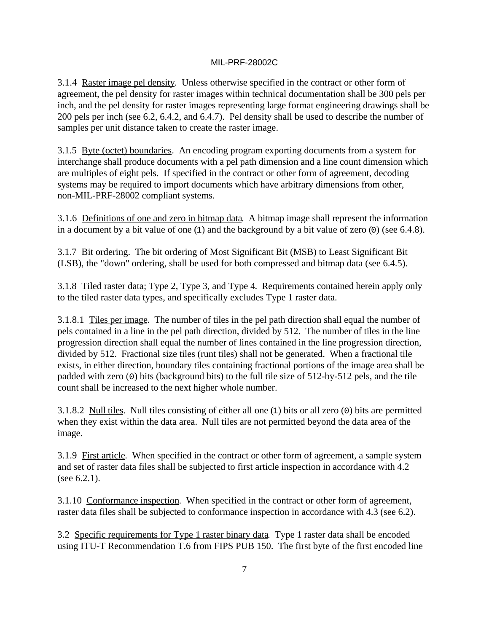3.1.4 Raster image pel density. Unless otherwise specified in the contract or other form of agreement, the pel density for raster images within technical documentation shall be 300 pels per inch, and the pel density for raster images representing large format engineering drawings shall be 200 pels per inch (see 6.2, 6.4.2, and 6.4.7). Pel density shall be used to describe the number of samples per unit distance taken to create the raster image.

3.1.5 Byte (octet) boundaries. An encoding program exporting documents from a system for interchange shall produce documents with a pel path dimension and a line count dimension which are multiples of eight pels. If specified in the contract or other form of agreement, decoding systems may be required to import documents which have arbitrary dimensions from other, non-MIL-PRF-28002 compliant systems.

3.1.6 Definitions of one and zero in bitmap data. A bitmap image shall represent the information in a document by a bit value of one (1) and the background by a bit value of zero (0) (see 6.4.8).

3.1.7 Bit ordering. The bit ordering of Most Significant Bit (MSB) to Least Significant Bit (LSB), the "down" ordering, shall be used for both compressed and bitmap data (see 6.4.5).

3.1.8 Tiled raster data; Type 2, Type 3, and Type 4. Requirements contained herein apply only to the tiled raster data types, and specifically excludes Type 1 raster data.

3.1.8.1 Tiles per image. The number of tiles in the pel path direction shall equal the number of pels contained in a line in the pel path direction, divided by 512. The number of tiles in the line progression direction shall equal the number of lines contained in the line progression direction, divided by 512. Fractional size tiles (runt tiles) shall not be generated. When a fractional tile exists, in either direction, boundary tiles containing fractional portions of the image area shall be padded with zero (0) bits (background bits) to the full tile size of 512-by-512 pels, and the tile count shall be increased to the next higher whole number.

3.1.8.2 Null tiles. Null tiles consisting of either all one (1) bits or all zero (0) bits are permitted when they exist within the data area. Null tiles are not permitted beyond the data area of the image.

3.1.9 First article. When specified in the contract or other form of agreement, a sample system and set of raster data files shall be subjected to first article inspection in accordance with 4.2 (see 6.2.1).

3.1.10 Conformance inspection. When specified in the contract or other form of agreement, raster data files shall be subjected to conformance inspection in accordance with 4.3 (see 6.2).

3.2 Specific requirements for Type 1 raster binary data. Type 1 raster data shall be encoded using ITU-T Recommendation T.6 from FIPS PUB 150. The first byte of the first encoded line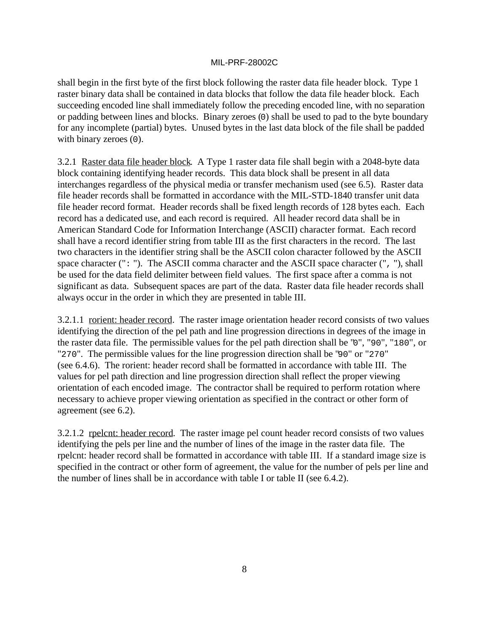shall begin in the first byte of the first block following the raster data file header block. Type 1 raster binary data shall be contained in data blocks that follow the data file header block. Each succeeding encoded line shall immediately follow the preceding encoded line, with no separation or padding between lines and blocks. Binary zeroes (0) shall be used to pad to the byte boundary for any incomplete (partial) bytes. Unused bytes in the last data block of the file shall be padded with binary zeroes  $(0)$ .

3.2.1 Raster data file header block. A Type 1 raster data file shall begin with a 2048-byte data block containing identifying header records. This data block shall be present in all data interchanges regardless of the physical media or transfer mechanism used (see 6.5). Raster data file header records shall be formatted in accordance with the MIL-STD-1840 transfer unit data file header record format. Header records shall be fixed length records of 128 bytes each. Each record has a dedicated use, and each record is required. All header record data shall be in American Standard Code for Information Interchange (ASCII) character format. Each record shall have a record identifier string from table III as the first characters in the record. The last two characters in the identifier string shall be the ASCII colon character followed by the ASCII space character (": "). The ASCII comma character and the ASCII space character (", "), shall be used for the data field delimiter between field values. The first space after a comma is not significant as data. Subsequent spaces are part of the data. Raster data file header records shall always occur in the order in which they are presented in table III.

3.2.1.1 rorient: header record. The raster image orientation header record consists of two values identifying the direction of the pel path and line progression directions in degrees of the image in the raster data file. The permissible values for the pel path direction shall be "0", "90", "180", or "270". The permissible values for the line progression direction shall be "90" or "270" (see 6.4.6). The rorient: header record shall be formatted in accordance with table III. The values for pel path direction and line progression direction shall reflect the proper viewing orientation of each encoded image. The contractor shall be required to perform rotation where necessary to achieve proper viewing orientation as specified in the contract or other form of agreement (see 6.2).

3.2.1.2 rpelcnt: header record. The raster image pel count header record consists of two values identifying the pels per line and the number of lines of the image in the raster data file. The rpelcnt: header record shall be formatted in accordance with table III. If a standard image size is specified in the contract or other form of agreement, the value for the number of pels per line and the number of lines shall be in accordance with table I or table II (see 6.4.2).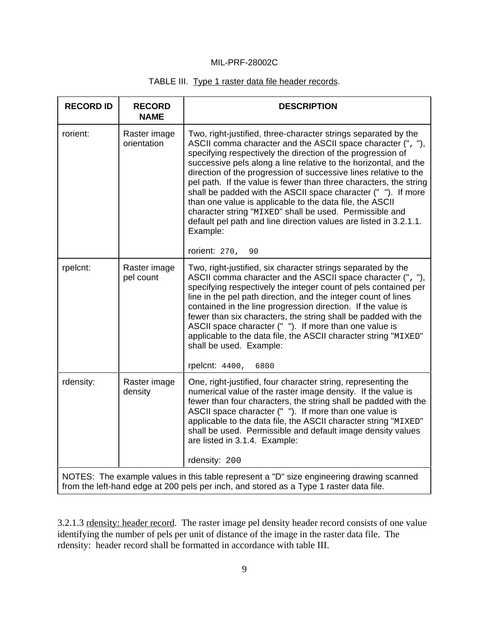### TABLE III. Type 1 raster data file header records.

| <b>RECORD ID</b> | <b>RECORD</b><br><b>NAME</b> | <b>DESCRIPTION</b>                                                                                                                                                                                                                                                                                                                                                                                                                                                                                                                                                                                                                                                                                         |
|------------------|------------------------------|------------------------------------------------------------------------------------------------------------------------------------------------------------------------------------------------------------------------------------------------------------------------------------------------------------------------------------------------------------------------------------------------------------------------------------------------------------------------------------------------------------------------------------------------------------------------------------------------------------------------------------------------------------------------------------------------------------|
| rorient:         | Raster image<br>orientation  | Two, right-justified, three-character strings separated by the<br>ASCII comma character and the ASCII space character (", "),<br>specifying respectively the direction of the progression of<br>successive pels along a line relative to the horizontal, and the<br>direction of the progression of successive lines relative to the<br>pel path. If the value is fewer than three characters, the string<br>shall be padded with the ASCII space character (""). If more<br>than one value is applicable to the data file, the ASCII<br>character string "MIXED" shall be used. Permissible and<br>default pel path and line direction values are listed in 3.2.1.1.<br>Example:<br>rorient: $270,$<br>90 |
| rpelcnt:         | Raster image<br>pel count    | Two, right-justified, six character strings separated by the<br>ASCII comma character and the ASCII space character (", "),<br>specifying respectively the integer count of pels contained per<br>line in the pel path direction, and the integer count of lines<br>contained in the line progression direction. If the value is<br>fewer than six characters, the string shall be padded with the<br>ASCII space character (" "). If more than one value is<br>applicable to the data file, the ASCII character string "MIXED"<br>shall be used. Example:<br>rpelcnt: 4400,<br>6800                                                                                                                       |
| rdensity:        | Raster image<br>density      | One, right-justified, four character string, representing the<br>numerical value of the raster image density. If the value is<br>fewer than four characters, the string shall be padded with the<br>ASCII space character (" "). If more than one value is<br>applicable to the data file, the ASCII character string "MIXED"<br>shall be used. Permissible and default image density values<br>are listed in 3.1.4. Example:<br>rdensity: 200                                                                                                                                                                                                                                                             |
|                  |                              | NOTES: The example values in this table represent a "D" size engineering drawing scanned<br>from the left-hand edge at 200 pels per inch, and stored as a Type 1 raster data file.                                                                                                                                                                                                                                                                                                                                                                                                                                                                                                                         |

3.2.1.3 rdensity: header record. The raster image pel density header record consists of one value identifying the number of pels per unit of distance of the image in the raster data file. The rdensity: header record shall be formatted in accordance with table III.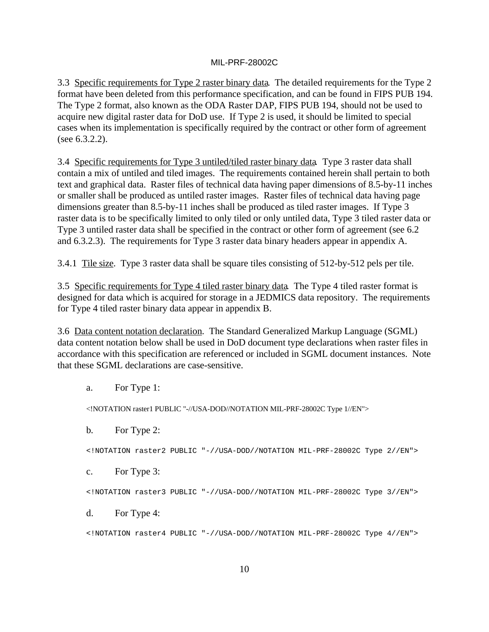3.3 Specific requirements for Type 2 raster binary data. The detailed requirements for the Type 2 format have been deleted from this performance specification, and can be found in FIPS PUB 194. The Type 2 format, also known as the ODA Raster DAP, FIPS PUB 194, should not be used to acquire new digital raster data for DoD use. If Type 2 is used, it should be limited to special cases when its implementation is specifically required by the contract or other form of agreement (see 6.3.2.2).

3.4 Specific requirements for Type 3 untiled/tiled raster binary data. Type 3 raster data shall contain a mix of untiled and tiled images. The requirements contained herein shall pertain to both text and graphical data. Raster files of technical data having paper dimensions of 8.5-by-11 inches or smaller shall be produced as untiled raster images. Raster files of technical data having page dimensions greater than 8.5-by-11 inches shall be produced as tiled raster images. If Type 3 raster data is to be specifically limited to only tiled or only untiled data, Type 3 tiled raster data or Type 3 untiled raster data shall be specified in the contract or other form of agreement (see 6.2 and 6.3.2.3). The requirements for Type 3 raster data binary headers appear in appendix A.

3.4.1 Tile size. Type 3 raster data shall be square tiles consisting of 512-by-512 pels per tile.

3.5 Specific requirements for Type 4 tiled raster binary data. The Type 4 tiled raster format is designed for data which is acquired for storage in a JEDMICS data repository. The requirements for Type 4 tiled raster binary data appear in appendix B.

3.6 Data content notation declaration. The Standard Generalized Markup Language (SGML) data content notation below shall be used in DoD document type declarations when raster files in accordance with this specification are referenced or included in SGML document instances. Note that these SGML declarations are case-sensitive.

a. For Type 1:

<!NOTATION raster1 PUBLIC "-//USA-DOD//NOTATION MIL-PRF-28002C Type 1//EN">

b. For Type 2:

<!NOTATION raster2 PUBLIC "-//USA-DOD//NOTATION MIL-PRF-28002C Type 2//EN">

c. For Type 3:

<!NOTATION raster3 PUBLIC "-//USA-DOD//NOTATION MIL-PRF-28002C Type 3//EN">

d. For Type 4:

<!NOTATION raster4 PUBLIC "-//USA-DOD//NOTATION MIL-PRF-28002C Type 4//EN">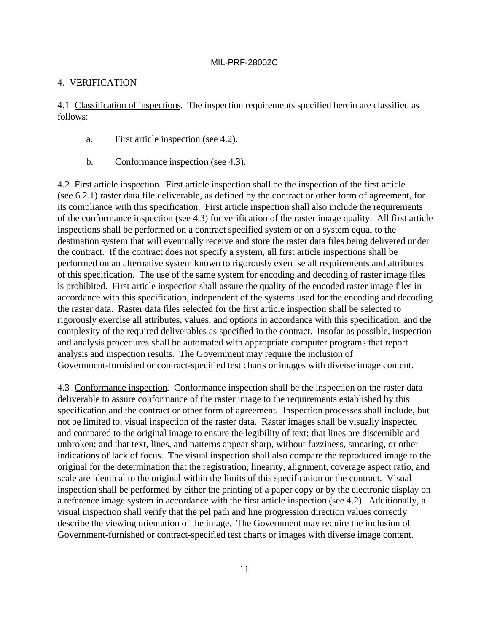#### 4. VERIFICATION

4.1 Classification of inspections. The inspection requirements specified herein are classified as follows:

- a. First article inspection (see 4.2).
- b. Conformance inspection (see 4.3).

4.2 First article inspection. First article inspection shall be the inspection of the first article (see 6.2.1) raster data file deliverable, as defined by the contract or other form of agreement, for its compliance with this specification. First article inspection shall also include the requirements of the conformance inspection (see 4.3) for verification of the raster image quality. All first article inspections shall be performed on a contract specified system or on a system equal to the destination system that will eventually receive and store the raster data files being delivered under the contract. If the contract does not specify a system, all first article inspections shall be performed on an alternative system known to rigorously exercise all requirements and attributes of this specification. The use of the same system for encoding and decoding of raster image files is prohibited. First article inspection shall assure the quality of the encoded raster image files in accordance with this specification, independent of the systems used for the encoding and decoding the raster data. Raster data files selected for the first article inspection shall be selected to rigorously exercise all attributes, values, and options in accordance with this specification, and the complexity of the required deliverables as specified in the contract. Insofar as possible, inspection and analysis procedures shall be automated with appropriate computer programs that report analysis and inspection results. The Government may require the inclusion of Government-furnished or contract-specified test charts or images with diverse image content.

4.3 Conformance inspection. Conformance inspection shall be the inspection on the raster data deliverable to assure conformance of the raster image to the requirements established by this specification and the contract or other form of agreement. Inspection processes shall include, but not be limited to, visual inspection of the raster data. Raster images shall be visually inspected and compared to the original image to ensure the legibility of text; that lines are discernible and unbroken; and that text, lines, and patterns appear sharp, without fuzziness, smearing, or other indications of lack of focus. The visual inspection shall also compare the reproduced image to the original for the determination that the registration, linearity, alignment, coverage aspect ratio, and scale are identical to the original within the limits of this specification or the contract. Visual inspection shall be performed by either the printing of a paper copy or by the electronic display on a reference image system in accordance with the first article inspection (see 4.2). Additionally, a visual inspection shall verify that the pel path and line progression direction values correctly describe the viewing orientation of the image. The Government may require the inclusion of Government-furnished or contract-specified test charts or images with diverse image content.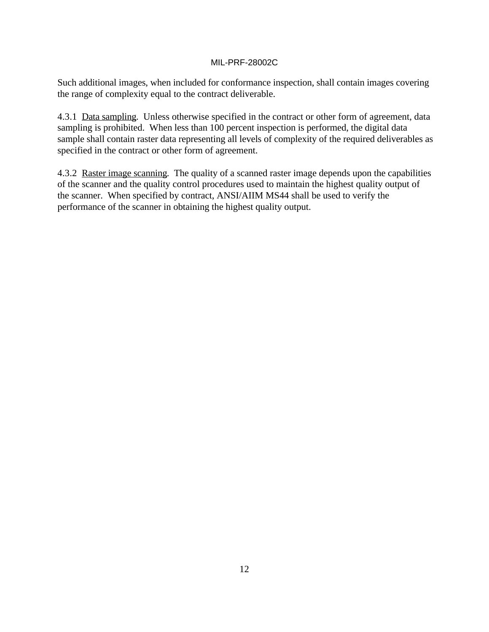Such additional images, when included for conformance inspection, shall contain images covering the range of complexity equal to the contract deliverable.

4.3.1 Data sampling. Unless otherwise specified in the contract or other form of agreement, data sampling is prohibited. When less than 100 percent inspection is performed, the digital data sample shall contain raster data representing all levels of complexity of the required deliverables as specified in the contract or other form of agreement.

4.3.2 Raster image scanning. The quality of a scanned raster image depends upon the capabilities of the scanner and the quality control procedures used to maintain the highest quality output of the scanner. When specified by contract, ANSI/AIIM MS44 shall be used to verify the performance of the scanner in obtaining the highest quality output.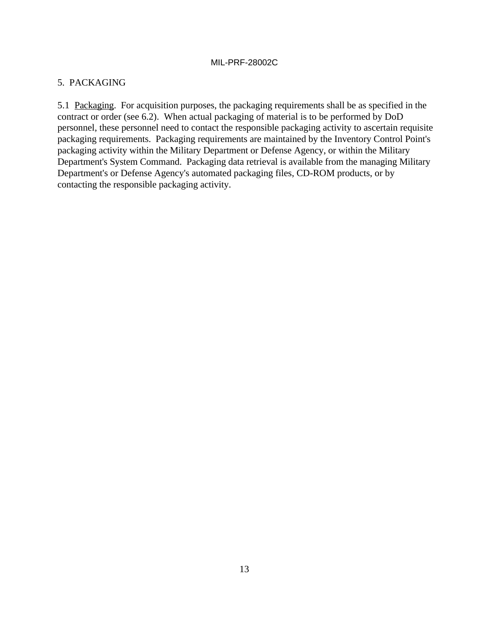### 5. PACKAGING

5.1 Packaging. For acquisition purposes, the packaging requirements shall be as specified in the contract or order (see 6.2). When actual packaging of material is to be performed by DoD personnel, these personnel need to contact the responsible packaging activity to ascertain requisite packaging requirements. Packaging requirements are maintained by the Inventory Control Point's packaging activity within the Military Department or Defense Agency, or within the Military Department's System Command. Packaging data retrieval is available from the managing Military Department's or Defense Agency's automated packaging files, CD-ROM products, or by contacting the responsible packaging activity.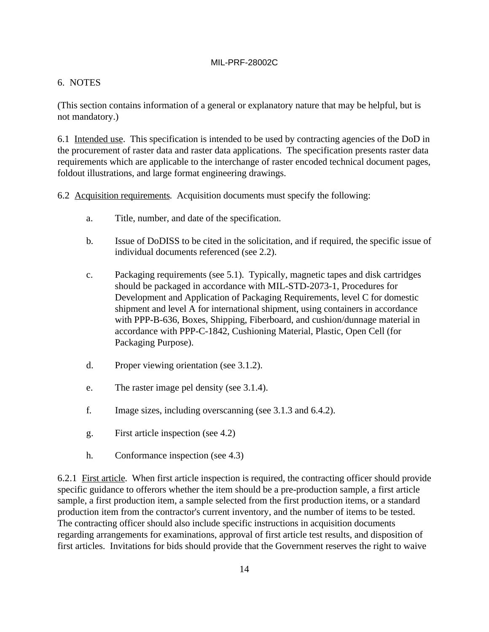### 6. NOTES

(This section contains information of a general or explanatory nature that may be helpful, but is not mandatory.)

6.1 Intended use. This specification is intended to be used by contracting agencies of the DoD in the procurement of raster data and raster data applications. The specification presents raster data requirements which are applicable to the interchange of raster encoded technical document pages, foldout illustrations, and large format engineering drawings.

6.2 Acquisition requirements. Acquisition documents must specify the following:

- a. Title, number, and date of the specification.
- b. Issue of DoDISS to be cited in the solicitation, and if required, the specific issue of individual documents referenced (see 2.2).
- c. Packaging requirements (see 5.1). Typically, magnetic tapes and disk cartridges should be packaged in accordance with MIL-STD-2073-1, Procedures for Development and Application of Packaging Requirements, level C for domestic shipment and level A for international shipment, using containers in accordance with PPP-B-636, Boxes, Shipping, Fiberboard, and cushion/dunnage material in accordance with PPP-C-1842, Cushioning Material, Plastic, Open Cell (for Packaging Purpose).
- d. Proper viewing orientation (see 3.1.2).
- e. The raster image pel density (see 3.1.4).
- f. Image sizes, including overscanning (see 3.1.3 and 6.4.2).
- g. First article inspection (see 4.2)
- h. Conformance inspection (see 4.3)

6.2.1 First article. When first article inspection is required, the contracting officer should provide specific guidance to offerors whether the item should be a pre-production sample, a first article sample, a first production item, a sample selected from the first production items, or a standard production item from the contractor's current inventory, and the number of items to be tested. The contracting officer should also include specific instructions in acquisition documents regarding arrangements for examinations, approval of first article test results, and disposition of first articles. Invitations for bids should provide that the Government reserves the right to waive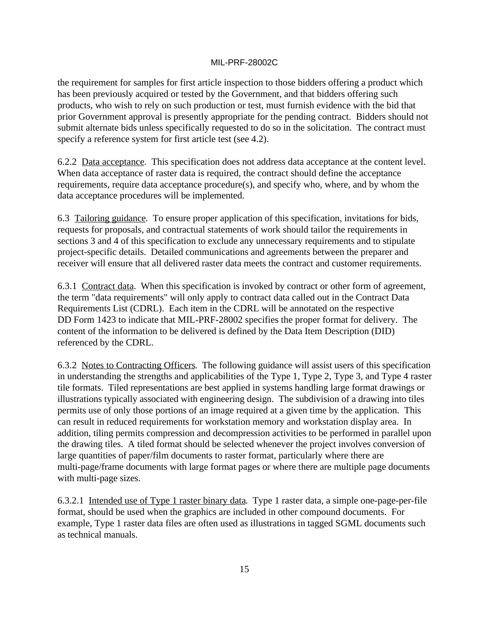the requirement for samples for first article inspection to those bidders offering a product which has been previously acquired or tested by the Government, and that bidders offering such products, who wish to rely on such production or test, must furnish evidence with the bid that prior Government approval is presently appropriate for the pending contract. Bidders should not submit alternate bids unless specifically requested to do so in the solicitation. The contract must specify a reference system for first article test (see 4.2).

6.2.2 Data acceptance. This specification does not address data acceptance at the content level. When data acceptance of raster data is required, the contract should define the acceptance requirements, require data acceptance procedure(s), and specify who, where, and by whom the data acceptance procedures will be implemented.

6.3 Tailoring guidance. To ensure proper application of this specification, invitations for bids, requests for proposals, and contractual statements of work should tailor the requirements in sections 3 and 4 of this specification to exclude any unnecessary requirements and to stipulate project-specific details. Detailed communications and agreements between the preparer and receiver will ensure that all delivered raster data meets the contract and customer requirements.

6.3.1 Contract data. When this specification is invoked by contract or other form of agreement, the term "data requirements" will only apply to contract data called out in the Contract Data Requirements List (CDRL). Each item in the CDRL will be annotated on the respective DD Form 1423 to indicate that MIL-PRF-28002 specifies the proper format for delivery. The content of the information to be delivered is defined by the Data Item Description (DID) referenced by the CDRL.

6.3.2 Notes to Contracting Officers. The following guidance will assist users of this specification in understanding the strengths and applicabilities of the Type 1, Type 2, Type 3, and Type 4 raster tile formats. Tiled representations are best applied in systems handling large format drawings or illustrations typically associated with engineering design. The subdivision of a drawing into tiles permits use of only those portions of an image required at a given time by the application. This can result in reduced requirements for workstation memory and workstation display area. In addition, tiling permits compression and decompression activities to be performed in parallel upon the drawing tiles. A tiled format should be selected whenever the project involves conversion of large quantities of paper/film documents to raster format, particularly where there are multi-page/frame documents with large format pages or where there are multiple page documents with multi-page sizes.

6.3.2.1 Intended use of Type 1 raster binary data. Type 1 raster data, a simple one-page-per-file format, should be used when the graphics are included in other compound documents. For example, Type 1 raster data files are often used as illustrations in tagged SGML documents such as technical manuals.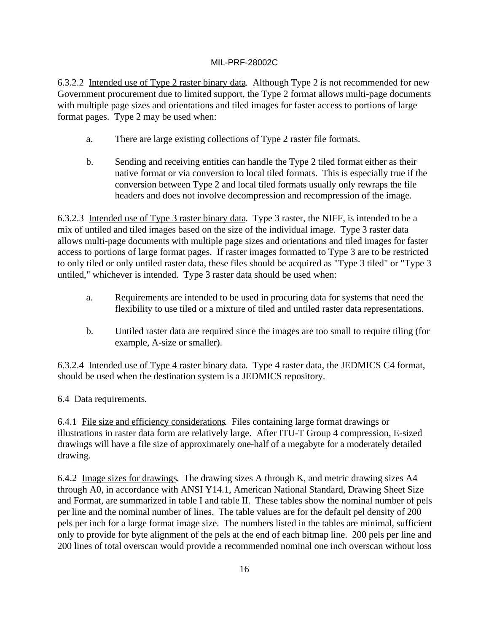6.3.2.2 Intended use of Type 2 raster binary data. Although Type 2 is not recommended for new Government procurement due to limited support, the Type 2 format allows multi-page documents with multiple page sizes and orientations and tiled images for faster access to portions of large format pages. Type 2 may be used when:

- a. There are large existing collections of Type 2 raster file formats.
- b. Sending and receiving entities can handle the Type 2 tiled format either as their native format or via conversion to local tiled formats. This is especially true if the conversion between Type 2 and local tiled formats usually only rewraps the file headers and does not involve decompression and recompression of the image.

6.3.2.3 Intended use of Type 3 raster binary data. Type 3 raster, the NIFF, is intended to be a mix of untiled and tiled images based on the size of the individual image. Type 3 raster data allows multi-page documents with multiple page sizes and orientations and tiled images for faster access to portions of large format pages. If raster images formatted to Type 3 are to be restricted to only tiled or only untiled raster data, these files should be acquired as "Type 3 tiled" or "Type 3 untiled," whichever is intended. Type 3 raster data should be used when:

- a. Requirements are intended to be used in procuring data for systems that need the flexibility to use tiled or a mixture of tiled and untiled raster data representations.
- b. Untiled raster data are required since the images are too small to require tiling (for example, A-size or smaller).

6.3.2.4 Intended use of Type 4 raster binary data. Type 4 raster data, the JEDMICS C4 format, should be used when the destination system is a JEDMICS repository.

6.4 Data requirements.

6.4.1 File size and efficiency considerations. Files containing large format drawings or illustrations in raster data form are relatively large. After ITU-T Group 4 compression, E-sized drawings will have a file size of approximately one-half of a megabyte for a moderately detailed drawing.

6.4.2 Image sizes for drawings. The drawing sizes A through K, and metric drawing sizes A4 through A0, in accordance with ANSI Y14.1, American National Standard, Drawing Sheet Size and Format, are summarized in table I and table II. These tables show the nominal number of pels per line and the nominal number of lines. The table values are for the default pel density of 200 pels per inch for a large format image size. The numbers listed in the tables are minimal, sufficient only to provide for byte alignment of the pels at the end of each bitmap line. 200 pels per line and 200 lines of total overscan would provide a recommended nominal one inch overscan without loss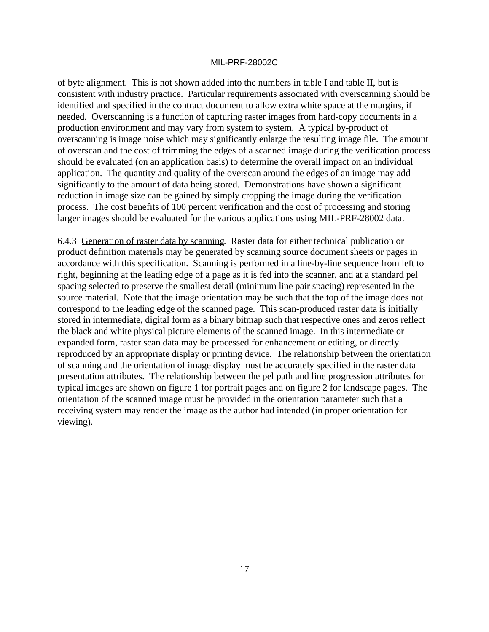of byte alignment. This is not shown added into the numbers in table I and table II, but is consistent with industry practice. Particular requirements associated with overscanning should be identified and specified in the contract document to allow extra white space at the margins, if needed. Overscanning is a function of capturing raster images from hard-copy documents in a production environment and may vary from system to system. A typical by-product of overscanning is image noise which may significantly enlarge the resulting image file. The amount of overscan and the cost of trimming the edges of a scanned image during the verification process should be evaluated (on an application basis) to determine the overall impact on an individual application. The quantity and quality of the overscan around the edges of an image may add significantly to the amount of data being stored. Demonstrations have shown a significant reduction in image size can be gained by simply cropping the image during the verification process. The cost benefits of 100 percent verification and the cost of processing and storing larger images should be evaluated for the various applications using MIL-PRF-28002 data.

6.4.3 Generation of raster data by scanning. Raster data for either technical publication or product definition materials may be generated by scanning source document sheets or pages in accordance with this specification. Scanning is performed in a line-by-line sequence from left to right, beginning at the leading edge of a page as it is fed into the scanner, and at a standard pel spacing selected to preserve the smallest detail (minimum line pair spacing) represented in the source material. Note that the image orientation may be such that the top of the image does not correspond to the leading edge of the scanned page. This scan-produced raster data is initially stored in intermediate, digital form as a binary bitmap such that respective ones and zeros reflect the black and white physical picture elements of the scanned image. In this intermediate or expanded form, raster scan data may be processed for enhancement or editing, or directly reproduced by an appropriate display or printing device. The relationship between the orientation of scanning and the orientation of image display must be accurately specified in the raster data presentation attributes. The relationship between the pel path and line progression attributes for typical images are shown on figure 1 for portrait pages and on figure 2 for landscape pages. The orientation of the scanned image must be provided in the orientation parameter such that a receiving system may render the image as the author had intended (in proper orientation for viewing).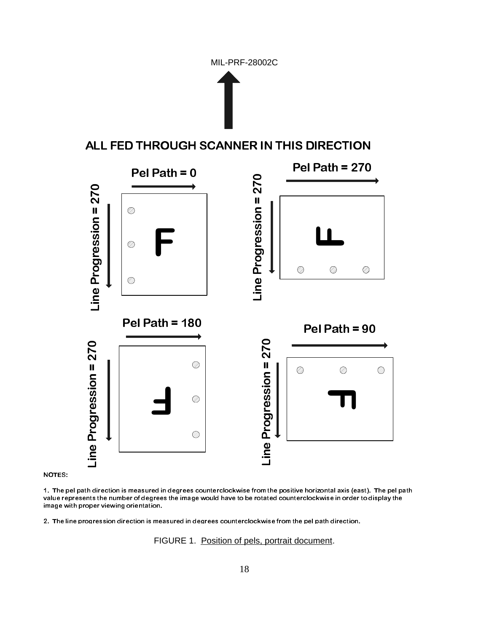



![](_page_17_Figure_3.jpeg)

1. The pel path direction is measured in degrees counterclockwise from the positive horizontal axis (east). The pel path value represents the number of degrees the image would have to be rotated counterclockwise in order to display the image with proper viewing orientation.

2. The line progression direction is measured in degrees counterclockwise from the pel path direction.

FIGURE 1. Position of pels, portrait document.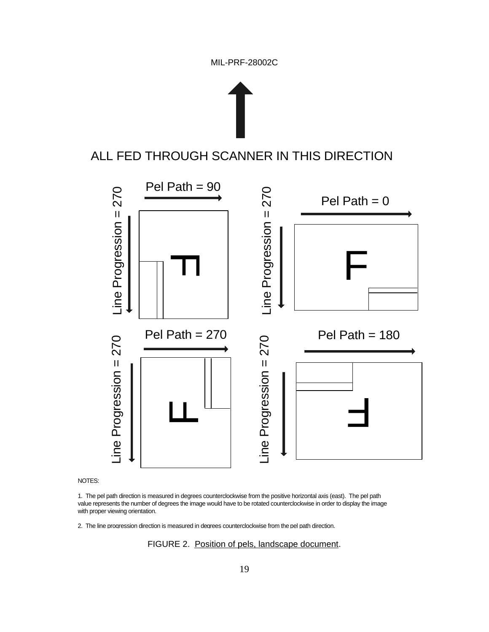![](_page_18_Figure_1.jpeg)

![](_page_18_Figure_2.jpeg)

#### NOTES:

1. The pel path direction is measured in degrees counterclockwise from the positive horizontal axis (east). The pel path value represents the number of degrees the image would have to be rotated counterclockwise in order to display the image with proper viewing orientation.

2. The line progression direction is measured in degrees counterclockwise from the pel path direction.

FIGURE 2. Position of pels, landscape document.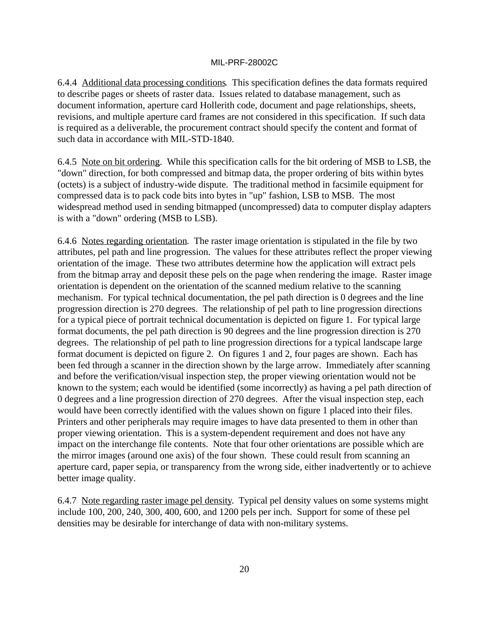6.4.4 Additional data processing conditions. This specification defines the data formats required to describe pages or sheets of raster data. Issues related to database management, such as document information, aperture card Hollerith code, document and page relationships, sheets, revisions, and multiple aperture card frames are not considered in this specification. If such data is required as a deliverable, the procurement contract should specify the content and format of such data in accordance with MIL-STD-1840.

6.4.5 Note on bit ordering. While this specification calls for the bit ordering of MSB to LSB, the "down" direction, for both compressed and bitmap data, the proper ordering of bits within bytes (octets) is a subject of industry-wide dispute. The traditional method in facsimile equipment for compressed data is to pack code bits into bytes in "up" fashion, LSB to MSB. The most widespread method used in sending bitmapped (uncompressed) data to computer display adapters is with a "down" ordering (MSB to LSB).

6.4.6 Notes regarding orientation. The raster image orientation is stipulated in the file by two attributes, pel path and line progression. The values for these attributes reflect the proper viewing orientation of the image. These two attributes determine how the application will extract pels from the bitmap array and deposit these pels on the page when rendering the image. Raster image orientation is dependent on the orientation of the scanned medium relative to the scanning mechanism. For typical technical documentation, the pel path direction is 0 degrees and the line progression direction is 270 degrees. The relationship of pel path to line progression directions for a typical piece of portrait technical documentation is depicted on figure 1. For typical large format documents, the pel path direction is 90 degrees and the line progression direction is 270 degrees. The relationship of pel path to line progression directions for a typical landscape large format document is depicted on figure 2. On figures 1 and 2, four pages are shown. Each has been fed through a scanner in the direction shown by the large arrow. Immediately after scanning and before the verification/visual inspection step, the proper viewing orientation would not be known to the system; each would be identified (some incorrectly) as having a pel path direction of 0 degrees and a line progression direction of 270 degrees. After the visual inspection step, each would have been correctly identified with the values shown on figure 1 placed into their files. Printers and other peripherals may require images to have data presented to them in other than proper viewing orientation. This is a system-dependent requirement and does not have any impact on the interchange file contents. Note that four other orientations are possible which are the mirror images (around one axis) of the four shown. These could result from scanning an aperture card, paper sepia, or transparency from the wrong side, either inadvertently or to achieve better image quality.

6.4.7 Note regarding raster image pel density. Typical pel density values on some systems might include 100, 200, 240, 300, 400, 600, and 1200 pels per inch. Support for some of these pel densities may be desirable for interchange of data with non-military systems.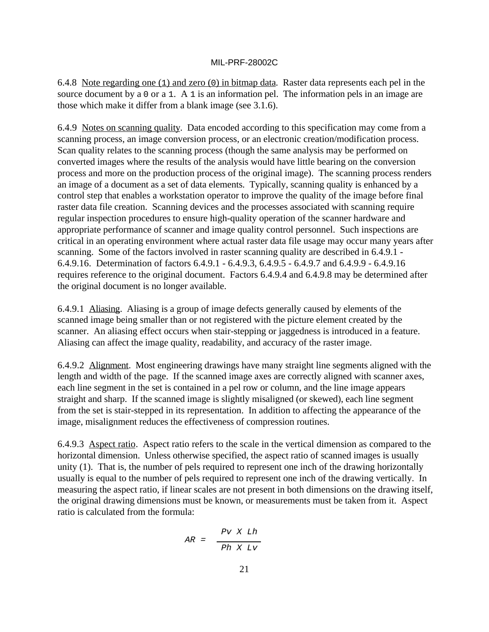6.4.8 Note regarding one (1) and zero (0) in bitmap data. Raster data represents each pel in the source document by a 0 or a 1. A 1 is an information pel. The information pels in an image are those which make it differ from a blank image (see 3.1.6).

6.4.9 Notes on scanning quality. Data encoded according to this specification may come from a scanning process, an image conversion process, or an electronic creation/modification process. Scan quality relates to the scanning process (though the same analysis may be performed on converted images where the results of the analysis would have little bearing on the conversion process and more on the production process of the original image). The scanning process renders an image of a document as a set of data elements. Typically, scanning quality is enhanced by a control step that enables a workstation operator to improve the quality of the image before final raster data file creation. Scanning devices and the processes associated with scanning require regular inspection procedures to ensure high-quality operation of the scanner hardware and appropriate performance of scanner and image quality control personnel. Such inspections are critical in an operating environment where actual raster data file usage may occur many years after scanning. Some of the factors involved in raster scanning quality are described in 6.4.9.1 - 6.4.9.16. Determination of factors 6.4.9.1 - 6.4.9.3, 6.4.9.5 - 6.4.9.7 and 6.4.9.9 - 6.4.9.16 requires reference to the original document. Factors 6.4.9.4 and 6.4.9.8 may be determined after the original document is no longer available.

6.4.9.1 Aliasing. Aliasing is a group of image defects generally caused by elements of the scanned image being smaller than or not registered with the picture element created by the scanner. An aliasing effect occurs when stair-stepping or jaggedness is introduced in a feature. Aliasing can affect the image quality, readability, and accuracy of the raster image.

6.4.9.2 Alignment. Most engineering drawings have many straight line segments aligned with the length and width of the page. If the scanned image axes are correctly aligned with scanner axes, each line segment in the set is contained in a pel row or column, and the line image appears straight and sharp. If the scanned image is slightly misaligned (or skewed), each line segment from the set is stair-stepped in its representation. In addition to affecting the appearance of the image, misalignment reduces the effectiveness of compression routines.

6.4.9.3 Aspect ratio. Aspect ratio refers to the scale in the vertical dimension as compared to the horizontal dimension. Unless otherwise specified, the aspect ratio of scanned images is usually unity (1). That is, the number of pels required to represent one inch of the drawing horizontally usually is equal to the number of pels required to represent one inch of the drawing vertically. In measuring the aspect ratio, if linear scales are not present in both dimensions on the drawing itself, the original drawing dimensions must be known, or measurements must be taken from it. Aspect ratio is calculated from the formula:

$$
AR = \frac{Pv \times Lh}{Ph \times Lv}
$$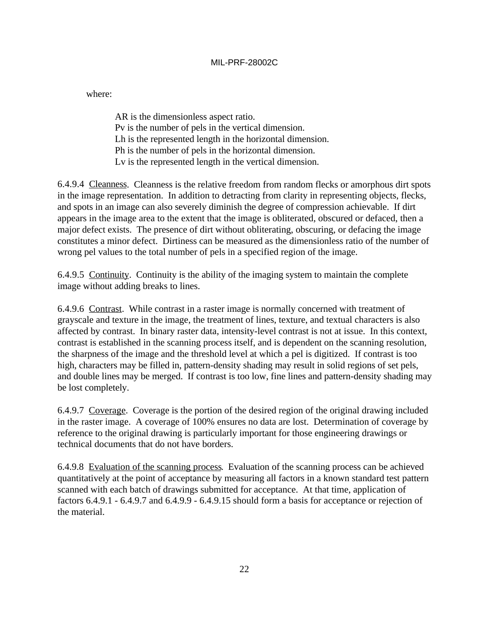where:

AR is the dimensionless aspect ratio. Pv is the number of pels in the vertical dimension. Lh is the represented length in the horizontal dimension. Ph is the number of pels in the horizontal dimension. Lv is the represented length in the vertical dimension.

6.4.9.4 Cleanness. Cleanness is the relative freedom from random flecks or amorphous dirt spots in the image representation. In addition to detracting from clarity in representing objects, flecks, and spots in an image can also severely diminish the degree of compression achievable. If dirt appears in the image area to the extent that the image is obliterated, obscured or defaced, then a major defect exists. The presence of dirt without obliterating, obscuring, or defacing the image constitutes a minor defect. Dirtiness can be measured as the dimensionless ratio of the number of wrong pel values to the total number of pels in a specified region of the image.

6.4.9.5 Continuity. Continuity is the ability of the imaging system to maintain the complete image without adding breaks to lines.

6.4.9.6 Contrast. While contrast in a raster image is normally concerned with treatment of grayscale and texture in the image, the treatment of lines, texture, and textual characters is also affected by contrast. In binary raster data, intensity-level contrast is not at issue. In this context, contrast is established in the scanning process itself, and is dependent on the scanning resolution, the sharpness of the image and the threshold level at which a pel is digitized. If contrast is too high, characters may be filled in, pattern-density shading may result in solid regions of set pels, and double lines may be merged. If contrast is too low, fine lines and pattern-density shading may be lost completely.

6.4.9.7 Coverage. Coverage is the portion of the desired region of the original drawing included in the raster image. A coverage of 100% ensures no data are lost. Determination of coverage by reference to the original drawing is particularly important for those engineering drawings or technical documents that do not have borders.

6.4.9.8 Evaluation of the scanning process. Evaluation of the scanning process can be achieved quantitatively at the point of acceptance by measuring all factors in a known standard test pattern scanned with each batch of drawings submitted for acceptance. At that time, application of factors 6.4.9.1 - 6.4.9.7 and 6.4.9.9 - 6.4.9.15 should form a basis for acceptance or rejection of the material.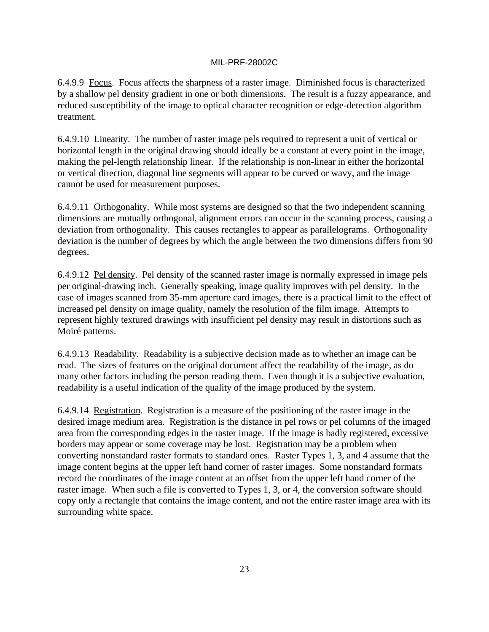6.4.9.9 Focus. Focus affects the sharpness of a raster image. Diminished focus is characterized by a shallow pel density gradient in one or both dimensions. The result is a fuzzy appearance, and reduced susceptibility of the image to optical character recognition or edge-detection algorithm treatment.

6.4.9.10 Linearity. The number of raster image pels required to represent a unit of vertical or horizontal length in the original drawing should ideally be a constant at every point in the image, making the pel-length relationship linear. If the relationship is non-linear in either the horizontal or vertical direction, diagonal line segments will appear to be curved or wavy, and the image cannot be used for measurement purposes.

6.4.9.11 Orthogonality. While most systems are designed so that the two independent scanning dimensions are mutually orthogonal, alignment errors can occur in the scanning process, causing a deviation from orthogonality. This causes rectangles to appear as parallelograms. Orthogonality deviation is the number of degrees by which the angle between the two dimensions differs from 90 degrees.

6.4.9.12 Pel density. Pel density of the scanned raster image is normally expressed in image pels per original-drawing inch. Generally speaking, image quality improves with pel density. In the case of images scanned from 35-mm aperture card images, there is a practical limit to the effect of increased pel density on image quality, namely the resolution of the film image. Attempts to represent highly textured drawings with insufficient pel density may result in distortions such as Moiré patterns.

6.4.9.13 Readability. Readability is a subjective decision made as to whether an image can be read. The sizes of features on the original document affect the readability of the image, as do many other factors including the person reading them. Even though it is a subjective evaluation, readability is a useful indication of the quality of the image produced by the system.

6.4.9.14 Registration. Registration is a measure of the positioning of the raster image in the desired image medium area. Registration is the distance in pel rows or pel columns of the imaged area from the corresponding edges in the raster image. If the image is badly registered, excessive borders may appear or some coverage may be lost. Registration may be a problem when converting nonstandard raster formats to standard ones. Raster Types 1, 3, and 4 assume that the image content begins at the upper left hand corner of raster images. Some nonstandard formats record the coordinates of the image content at an offset from the upper left hand corner of the raster image. When such a file is converted to Types 1, 3, or 4, the conversion software should copy only a rectangle that contains the image content, and not the entire raster image area with its surrounding white space.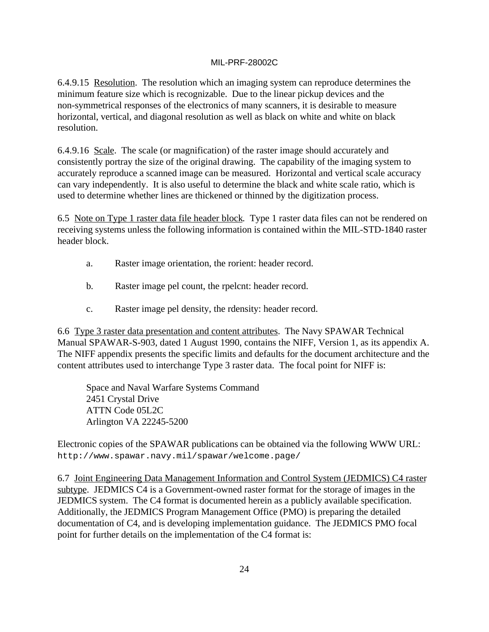6.4.9.15 Resolution. The resolution which an imaging system can reproduce determines the minimum feature size which is recognizable. Due to the linear pickup devices and the non-symmetrical responses of the electronics of many scanners, it is desirable to measure horizontal, vertical, and diagonal resolution as well as black on white and white on black resolution.

6.4.9.16 Scale. The scale (or magnification) of the raster image should accurately and consistently portray the size of the original drawing. The capability of the imaging system to accurately reproduce a scanned image can be measured. Horizontal and vertical scale accuracy can vary independently. It is also useful to determine the black and white scale ratio, which is used to determine whether lines are thickened or thinned by the digitization process.

6.5 Note on Type 1 raster data file header block. Type 1 raster data files can not be rendered on receiving systems unless the following information is contained within the MIL-STD-1840 raster header block.

- a. Raster image orientation, the rorient: header record.
- b. Raster image pel count, the rpelcnt: header record.
- c. Raster image pel density, the rdensity: header record.

6.6 Type 3 raster data presentation and content attributes. The Navy SPAWAR Technical Manual SPAWAR-S-903, dated 1 August 1990, contains the NIFF, Version 1, as its appendix A. The NIFF appendix presents the specific limits and defaults for the document architecture and the content attributes used to interchange Type 3 raster data. The focal point for NIFF is:

Space and Naval Warfare Systems Command 2451 Crystal Drive ATTN Code 05L2C Arlington VA 22245-5200

Electronic copies of the SPAWAR publications can be obtained via the following WWW URL: http://www.spawar.navy.mil/spawar/welcome.page/

6.7 Joint Engineering Data Management Information and Control System (JEDMICS) C4 raster subtype. JEDMICS C4 is a Government-owned raster format for the storage of images in the JEDMICS system. The C4 format is documented herein as a publicly available specification. Additionally, the JEDMICS Program Management Office (PMO) is preparing the detailed documentation of C4, and is developing implementation guidance. The JEDMICS PMO focal point for further details on the implementation of the C4 format is: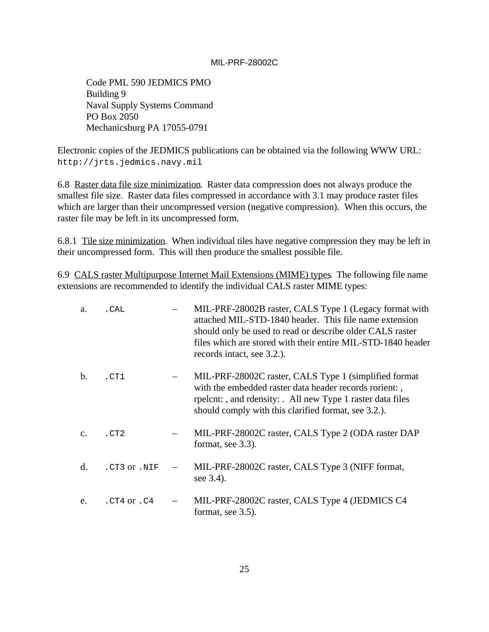Code PML 590 JEDMICS PMO Building 9 Naval Supply Systems Command PO Box 2050 Mechanicsburg PA 17055-0791

Electronic copies of the JEDMICS publications can be obtained via the following WWW URL: http://jrts.jedmics.navy.mil

6.8 Raster data file size minimization. Raster data compression does not always produce the smallest file size. Raster data files compressed in accordance with 3.1 may produce raster files which are larger than their uncompressed version (negative compression). When this occurs, the raster file may be left in its uncompressed form.

6.8.1 Tile size minimization. When individual tiles have negative compression they may be left in their uncompressed form. This will then produce the smallest possible file.

6.9 CALS raster Multipurpose Internet Mail Extensions (MIME) types. The following file name extensions are recommended to identify the individual CALS raster MIME types:

| a.             | . CAL        |                          | MIL-PRF-28002B raster, CALS Type 1 (Legacy format with<br>attached MIL-STD-1840 header. This file name extension<br>should only be used to read or describe older CALS raster<br>files which are stored with their entire MIL-STD-1840 header<br>records intact, see 3.2.). |
|----------------|--------------|--------------------------|-----------------------------------------------------------------------------------------------------------------------------------------------------------------------------------------------------------------------------------------------------------------------------|
| $\mathbf{b}$ . | .CT1         |                          | MIL-PRF-28002C raster, CALS Type 1 (simplified format)<br>with the embedded raster data header records rorient:<br>rpelcnt:, and rdensity: All new Type 1 raster data files<br>should comply with this clarified format, see 3.2.).                                         |
| $C_{\star}$    | .CT2         |                          | MIL-PRF-28002C raster, CALS Type 2 (ODA raster DAP<br>format, see 3.3).                                                                                                                                                                                                     |
| d.             | .CT3 or .NIF | $\overline{\phantom{m}}$ | MIL-PRF-28002C raster, CALS Type 3 (NIFF format,<br>see 3.4).                                                                                                                                                                                                               |
| e.             | .CT4 or .C4  | $  \,$                   | MIL-PRF-28002C raster, CALS Type 4 (JEDMICS C4)<br>format, see 3.5).                                                                                                                                                                                                        |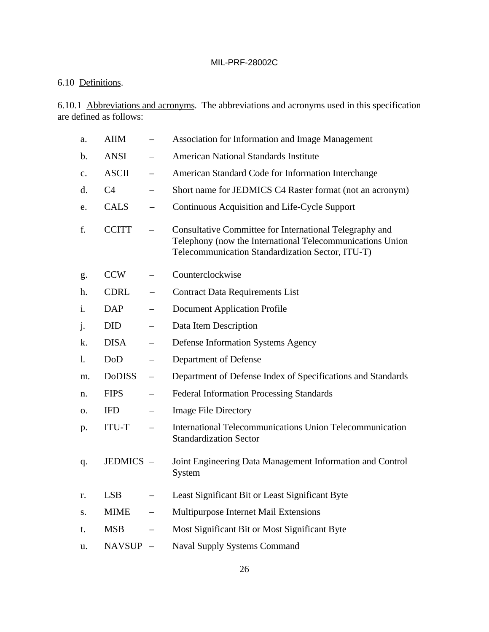## 6.10 Definitions.

6.10.1 Abbreviations and acronyms. The abbreviations and acronyms used in this specification are defined as follows:

| a. | <b>AIIM</b>    |                          | Association for Information and Image Management                                                                                                                         |
|----|----------------|--------------------------|--------------------------------------------------------------------------------------------------------------------------------------------------------------------------|
| b. | <b>ANSI</b>    | $\qquad \qquad -$        | <b>American National Standards Institute</b>                                                                                                                             |
| c. | <b>ASCII</b>   | $\overline{\phantom{0}}$ | American Standard Code for Information Interchange                                                                                                                       |
| d. | C <sub>4</sub> |                          | Short name for JEDMICS C4 Raster format (not an acronym)                                                                                                                 |
| e. | <b>CALS</b>    |                          | Continuous Acquisition and Life-Cycle Support                                                                                                                            |
| f. | <b>CCITT</b>   |                          | Consultative Committee for International Telegraphy and<br>Telephony (now the International Telecommunications Union<br>Telecommunication Standardization Sector, ITU-T) |
| g. | <b>CCW</b>     |                          | Counterclockwise                                                                                                                                                         |
| h. | <b>CDRL</b>    | $\qquad \qquad -$        | <b>Contract Data Requirements List</b>                                                                                                                                   |
| i. | <b>DAP</b>     |                          | <b>Document Application Profile</b>                                                                                                                                      |
| j. | <b>DID</b>     | $\overline{\phantom{0}}$ | Data Item Description                                                                                                                                                    |
| k. | <b>DISA</b>    | $\overline{\phantom{0}}$ | <b>Defense Information Systems Agency</b>                                                                                                                                |
| 1. | DoD            | $\qquad \qquad -$        | Department of Defense                                                                                                                                                    |
| m. | <b>DoDISS</b>  | $\qquad \qquad -$        | Department of Defense Index of Specifications and Standards                                                                                                              |
| n. | <b>FIPS</b>    | $\qquad \qquad -$        | <b>Federal Information Processing Standards</b>                                                                                                                          |
| 0. | <b>IFD</b>     |                          | <b>Image File Directory</b>                                                                                                                                              |
| p. | ITU-T          | $\overline{\phantom{0}}$ | International Telecommunications Union Telecommunication<br><b>Standardization Sector</b>                                                                                |
| q. | JEDMICS -      |                          | Joint Engineering Data Management Information and Control<br>System                                                                                                      |
| r. | <b>LSB</b>     |                          | Least Significant Bit or Least Significant Byte                                                                                                                          |
| S. | <b>MIME</b>    | $\qquad \qquad -$        | Multipurpose Internet Mail Extensions                                                                                                                                    |
| t. | <b>MSB</b>     |                          | Most Significant Bit or Most Significant Byte                                                                                                                            |
| u. | <b>NAVSUP</b>  | $\overline{\phantom{m}}$ | <b>Naval Supply Systems Command</b>                                                                                                                                      |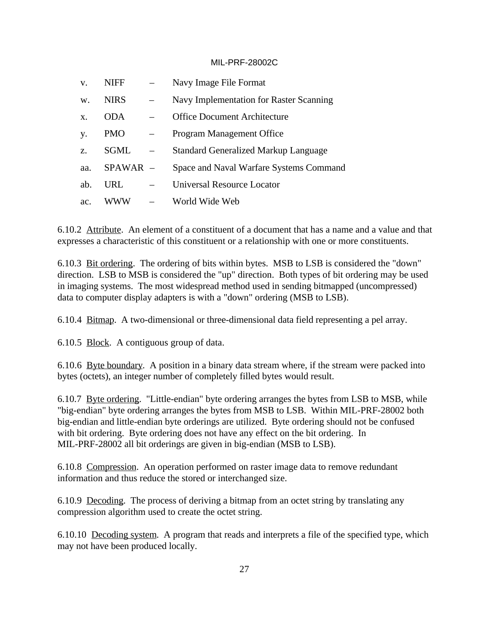| V.    | <b>NIFF</b> | Navy Image File Format                      |
|-------|-------------|---------------------------------------------|
| W.    | <b>NIRS</b> | Navy Implementation for Raster Scanning     |
| $X$ . | <b>ODA</b>  | <b>Office Document Architecture</b>         |
| y.    | PMO         | Program Management Office                   |
| Z.    | <b>SGML</b> | <b>Standard Generalized Markup Language</b> |
| aa.   | $SPAWAR -$  | Space and Naval Warfare Systems Command     |
| ab.   | URL         | Universal Resource Locator                  |
| ac.   | WWW         | World Wide Web                              |

6.10.2 Attribute. An element of a constituent of a document that has a name and a value and that expresses a characteristic of this constituent or a relationship with one or more constituents.

6.10.3 Bit ordering. The ordering of bits within bytes. MSB to LSB is considered the "down" direction. LSB to MSB is considered the "up" direction. Both types of bit ordering may be used in imaging systems. The most widespread method used in sending bitmapped (uncompressed) data to computer display adapters is with a "down" ordering (MSB to LSB).

6.10.4 Bitmap. A two-dimensional or three-dimensional data field representing a pel array.

6.10.5 Block. A contiguous group of data.

6.10.6 Byte boundary. A position in a binary data stream where, if the stream were packed into bytes (octets), an integer number of completely filled bytes would result.

6.10.7 Byte ordering. "Little-endian" byte ordering arranges the bytes from LSB to MSB, while "big-endian" byte ordering arranges the bytes from MSB to LSB. Within MIL-PRF-28002 both big-endian and little-endian byte orderings are utilized. Byte ordering should not be confused with bit ordering. Byte ordering does not have any effect on the bit ordering. In MIL-PRF-28002 all bit orderings are given in big-endian (MSB to LSB).

6.10.8 Compression. An operation performed on raster image data to remove redundant information and thus reduce the stored or interchanged size.

6.10.9 Decoding. The process of deriving a bitmap from an octet string by translating any compression algorithm used to create the octet string.

6.10.10 Decoding system. A program that reads and interprets a file of the specified type, which may not have been produced locally.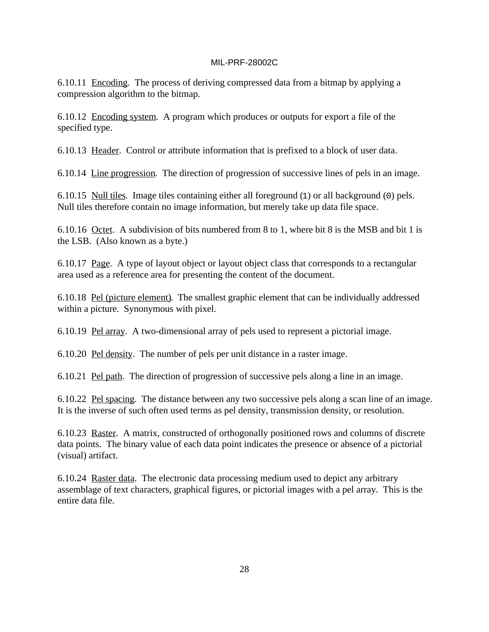6.10.11 Encoding. The process of deriving compressed data from a bitmap by applying a compression algorithm to the bitmap.

6.10.12 Encoding system. A program which produces or outputs for export a file of the specified type.

6.10.13 Header. Control or attribute information that is prefixed to a block of user data.

6.10.14 Line progression. The direction of progression of successive lines of pels in an image.

6.10.15 Null tiles. Image tiles containing either all foreground (1) or all background (0) pels. Null tiles therefore contain no image information, but merely take up data file space.

6.10.16 Octet. A subdivision of bits numbered from 8 to 1, where bit 8 is the MSB and bit 1 is the LSB. (Also known as a byte.)

6.10.17 Page. A type of layout object or layout object class that corresponds to a rectangular area used as a reference area for presenting the content of the document.

6.10.18 Pel (picture element). The smallest graphic element that can be individually addressed within a picture. Synonymous with pixel.

6.10.19 Pel array. A two-dimensional array of pels used to represent a pictorial image.

6.10.20 Pel density. The number of pels per unit distance in a raster image.

6.10.21 Pel path. The direction of progression of successive pels along a line in an image.

6.10.22 Pel spacing. The distance between any two successive pels along a scan line of an image. It is the inverse of such often used terms as pel density, transmission density, or resolution.

6.10.23 Raster. A matrix, constructed of orthogonally positioned rows and columns of discrete data points. The binary value of each data point indicates the presence or absence of a pictorial (visual) artifact.

6.10.24 Raster data. The electronic data processing medium used to depict any arbitrary assemblage of text characters, graphical figures, or pictorial images with a pel array. This is the entire data file.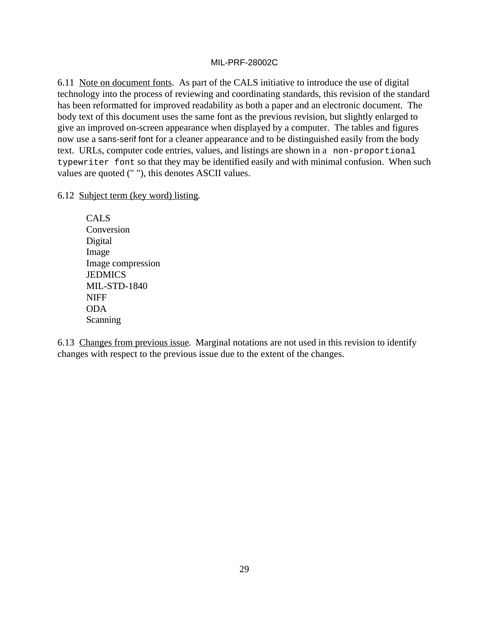6.11 Note on document fonts. As part of the CALS initiative to introduce the use of digital technology into the process of reviewing and coordinating standards, this revision of the standard has been reformatted for improved readability as both a paper and an electronic document. The body text of this document uses the same font as the previous revision, but slightly enlarged to give an improved on-screen appearance when displayed by a computer. The tables and figures now use a sans-serif font for a cleaner appearance and to be distinguished easily from the body text. URLs, computer code entries, values, and listings are shown in a non-proportional typewriter font so that they may be identified easily and with minimal confusion. When such values are quoted (" "), this denotes ASCII values.

### 6.12 Subject term (key word) listing.

CALS Conversion Digital Image Image compression **JEDMICS** MIL-STD-1840 NIFF ODA **Scanning** 

6.13 Changes from previous issue. Marginal notations are not used in this revision to identify changes with respect to the previous issue due to the extent of the changes.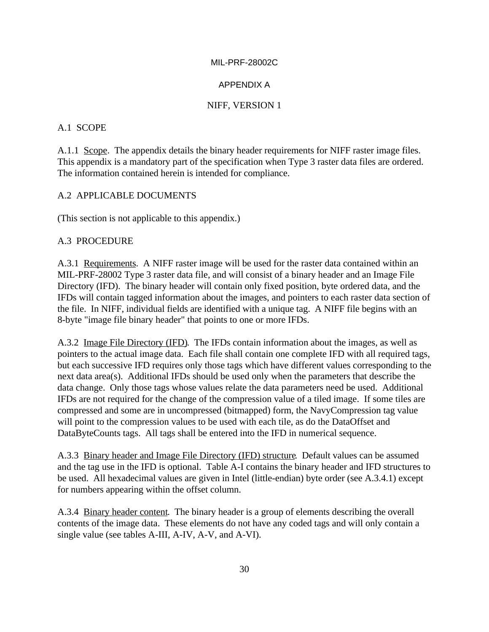### APPENDIX A

### NIFF, VERSION 1

### A.1 SCOPE

A.1.1 Scope. The appendix details the binary header requirements for NIFF raster image files. This appendix is a mandatory part of the specification when Type 3 raster data files are ordered. The information contained herein is intended for compliance.

### A.2 APPLICABLE DOCUMENTS

(This section is not applicable to this appendix.)

### A.3 PROCEDURE

A.3.1 Requirements. A NIFF raster image will be used for the raster data contained within an MIL-PRF-28002 Type 3 raster data file, and will consist of a binary header and an Image File Directory (IFD). The binary header will contain only fixed position, byte ordered data, and the IFDs will contain tagged information about the images, and pointers to each raster data section of the file. In NIFF, individual fields are identified with a unique tag. A NIFF file begins with an 8-byte "image file binary header" that points to one or more IFDs.

A.3.2 Image File Directory (IFD). The IFDs contain information about the images, as well as pointers to the actual image data. Each file shall contain one complete IFD with all required tags, but each successive IFD requires only those tags which have different values corresponding to the next data area(s). Additional IFDs should be used only when the parameters that describe the data change. Only those tags whose values relate the data parameters need be used. Additional IFDs are not required for the change of the compression value of a tiled image. If some tiles are compressed and some are in uncompressed (bitmapped) form, the NavyCompression tag value will point to the compression values to be used with each tile, as do the DataOffset and DataByteCounts tags. All tags shall be entered into the IFD in numerical sequence.

A.3.3 Binary header and Image File Directory (IFD) structure. Default values can be assumed and the tag use in the IFD is optional. Table A-I contains the binary header and IFD structures to be used. All hexadecimal values are given in Intel (little-endian) byte order (see A.3.4.1) except for numbers appearing within the offset column.

A.3.4 Binary header content. The binary header is a group of elements describing the overall contents of the image data. These elements do not have any coded tags and will only contain a single value (see tables A-III, A-IV, A-V, and A-VI).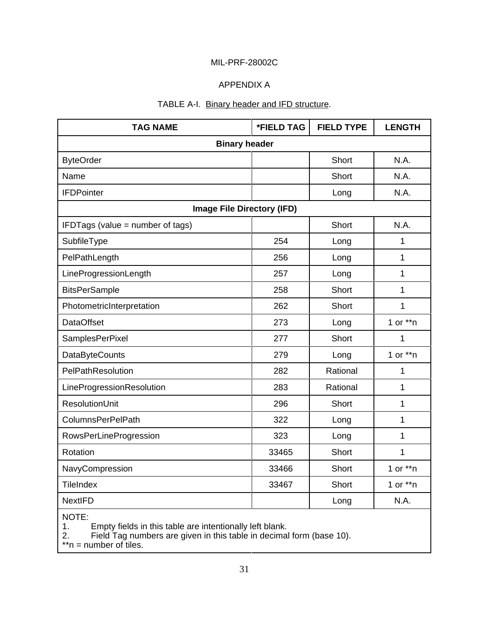### APPENDIX A

### TABLE A-I. Binary header and IFD structure.

| <b>TAG NAME</b>                   | <b>*FIELD TAG</b> | <b>FIELD TYPE</b> | <b>LENGTH</b> |
|-----------------------------------|-------------------|-------------------|---------------|
| <b>Binary header</b>              |                   |                   |               |
| <b>ByteOrder</b>                  |                   | Short             | N.A.          |
| Name                              |                   | Short             | N.A.          |
| <b>IFDPointer</b>                 |                   | Long              | N.A.          |
| <b>Image File Directory (IFD)</b> |                   |                   |               |
| IFDTags (value = number of tags)  |                   | <b>Short</b>      | N.A.          |
| SubfileType                       | 254               | Long              | 1             |
| PelPathLength                     | 256               | Long              | $\mathbf{1}$  |
| LineProgressionLength             | 257               | Long              | $\mathbf{1}$  |
| <b>BitsPerSample</b>              | 258               | Short             | 1             |
| PhotometricInterpretation         | 262               | Short             | 1             |
| <b>DataOffset</b>                 | 273               | Long              | 1 or $**n$    |
| SamplesPerPixel                   | 277               | Short             | 1             |
| <b>DataByteCounts</b>             | 279               | Long              | 1 or $**n$    |
| PelPathResolution                 | 282               | Rational          | $\mathbf{1}$  |
| LineProgressionResolution         | 283               | Rational          | $\mathbf{1}$  |
| <b>ResolutionUnit</b>             | 296               | Short             | 1             |
| <b>ColumnsPerPelPath</b>          | 322               | Long              | $\mathbf{1}$  |
| <b>RowsPerLineProgression</b>     | 323               | Long              | $\mathbf{1}$  |
| Rotation                          | 33465             | Short             | 1             |
| NavyCompression                   | 33466             | Short             | 1 or $**n$    |
| <b>TileIndex</b>                  | 33467             | Short             | 1 or $**n$    |
| <b>NextlFD</b>                    |                   | Long              | N.A.          |

NOTE:

1. Empty fields in this table are intentionally left blank.

2. Field Tag numbers are given in this table in decimal form (base 10).

\*\*n = number of tiles.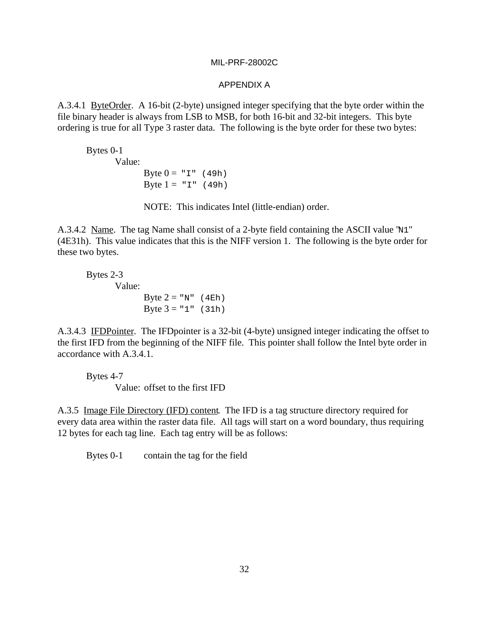#### APPENDIX A

A.3.4.1 ByteOrder. A 16-bit (2-byte) unsigned integer specifying that the byte order within the file binary header is always from LSB to MSB, for both 16-bit and 32-bit integers. This byte ordering is true for all Type 3 raster data. The following is the byte order for these two bytes:

Bytes 0-1 Value: Byte  $0 = "I" (49h)$ Byte  $1 = "I" (49h)$ 

NOTE: This indicates Intel (little-endian) order.

A.3.4.2 Name. The tag Name shall consist of a 2-byte field containing the ASCII value "N1" (4E31h). This value indicates that this is the NIFF version 1. The following is the byte order for these two bytes.

Bytes 2-3 Value: Byte  $2 = "N"$  (4Eh) Byte  $3 = "1"$  (31h)

A.3.4.3 IFDPointer. The IFDpointer is a 32-bit (4-byte) unsigned integer indicating the offset to the first IFD from the beginning of the NIFF file. This pointer shall follow the Intel byte order in accordance with A.3.4.1.

Bytes 4-7 Value: offset to the first IFD

A.3.5 Image File Directory (IFD) content. The IFD is a tag structure directory required for every data area within the raster data file. All tags will start on a word boundary, thus requiring 12 bytes for each tag line. Each tag entry will be as follows:

Bytes 0-1 contain the tag for the field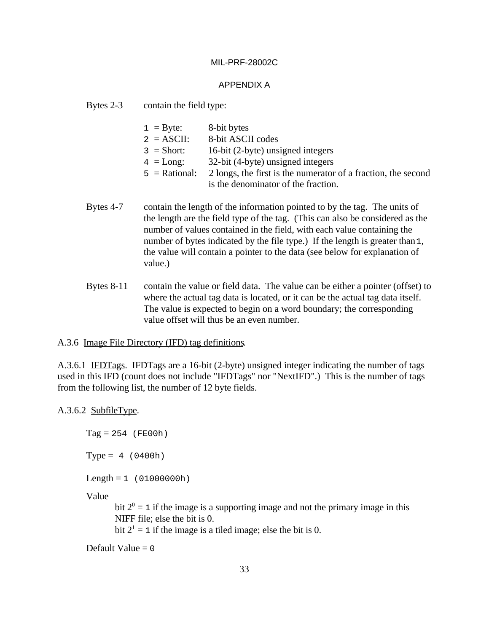#### APPENDIX A

Bytes 2-3 contain the field type:

| $1 = \text{Byte:}$ | 8-bit bytes                                                   |
|--------------------|---------------------------------------------------------------|
| $2 = ASCII$ :      | 8-bit ASCII codes                                             |
| $3 = Short:$       | 16-bit (2-byte) unsigned integers                             |
| $4 = Long$ :       | 32-bit (4-byte) unsigned integers                             |
| $5 =$ Rational:    | 2 longs, the first is the numerator of a fraction, the second |
|                    | is the denominator of the fraction.                           |

- Bytes 4-7 contain the length of the information pointed to by the tag. The units of the length are the field type of the tag. (This can also be considered as the number of values contained in the field, with each value containing the number of bytes indicated by the file type.) If the length is greater than 1, the value will contain a pointer to the data (see below for explanation of value.)
- Bytes 8-11 contain the value or field data. The value can be either a pointer (offset) to where the actual tag data is located, or it can be the actual tag data itself. The value is expected to begin on a word boundary; the corresponding value offset will thus be an even number.

#### A.3.6 Image File Directory (IFD) tag definitions.

A.3.6.1 IFDTags. IFDTags are a 16-bit (2-byte) unsigned integer indicating the number of tags used in this IFD (count does not include "IFDTags" nor "NextIFD".) This is the number of tags from the following list, the number of 12 byte fields.

#### A.3.6.2 SubfileType.

 $Tag = 254$  (FE00h)

 $Type = 4 (0400h)$ 

 $Length = 1 (01000000h)$ 

Value

bit  $2^0 = 1$  if the image is a supporting image and not the primary image in this NIFF file; else the bit is 0.

bit  $2^1 = 1$  if the image is a tiled image; else the bit is 0.

Default Value  $= 0$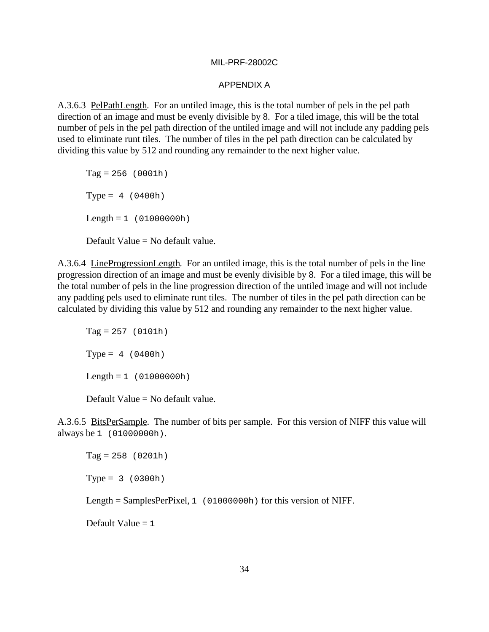#### APPENDIX A

A.3.6.3 PelPathLength. For an untiled image, this is the total number of pels in the pel path direction of an image and must be evenly divisible by 8. For a tiled image, this will be the total number of pels in the pel path direction of the untiled image and will not include any padding pels used to eliminate runt tiles. The number of tiles in the pel path direction can be calculated by dividing this value by 512 and rounding any remainder to the next higher value.

 $Tag = 256 (0001h)$  $Type = 4 (0400h)$  $Length = 1 (01000000h)$ Default Value = No default value.

A.3.6.4 LineProgressionLength. For an untiled image, this is the total number of pels in the line progression direction of an image and must be evenly divisible by 8. For a tiled image, this will be the total number of pels in the line progression direction of the untiled image and will not include any padding pels used to eliminate runt tiles. The number of tiles in the pel path direction can be calculated by dividing this value by 512 and rounding any remainder to the next higher value.

 $Tag = 257 (0101h)$  $Type = 4 (0400h)$  $Length = 1 (01000000h)$ 

Default Value = No default value.

A.3.6.5 BitsPerSample. The number of bits per sample. For this version of NIFF this value will always be 1 (01000000h).

 $Tag = 258 (0201h)$  $Type = 3 (0300h)$ 

Length = SamplesPerPixel, 1 (01000000h) for this version of NIFF.

Default Value  $= 1$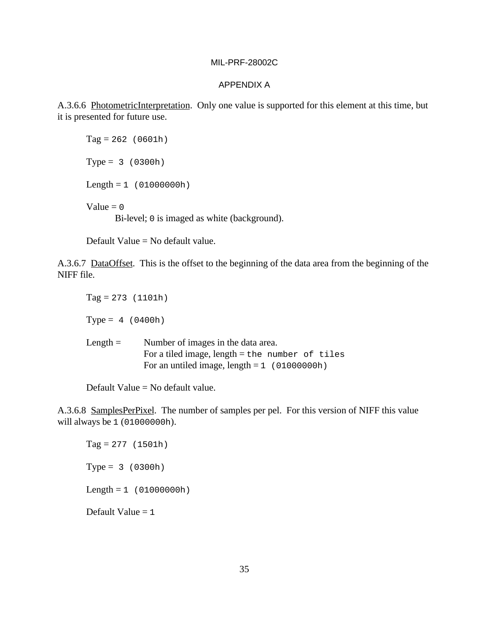#### APPENDIX A

A.3.6.6 PhotometricInterpretation. Only one value is supported for this element at this time, but it is presented for future use.

 $Tag = 262 (0601h)$  $Type = 3 (0300h)$  $Length = 1 (01000000h)$ Value  $= 0$ Bi-level; 0 is imaged as white (background).

Default Value = No default value.

A.3.6.7 DataOffset. This is the offset to the beginning of the data area from the beginning of the NIFF file.

 $Tag = 273$  (1101h)  $Type = 4 (0400h)$ Length = Number of images in the data area. For a tiled image,  $length = the number of tiles$ For an untiled image, length  $= 1$  (01000000h)

Default Value = No default value.

A.3.6.8 SamplesPerPixel. The number of samples per pel. For this version of NIFF this value will always be 1 (01000000h).

 $Tag = 277 (1501h)$  $Type = 3 (0300h)$  $Length = 1 (01000000h)$ Default Value  $= 1$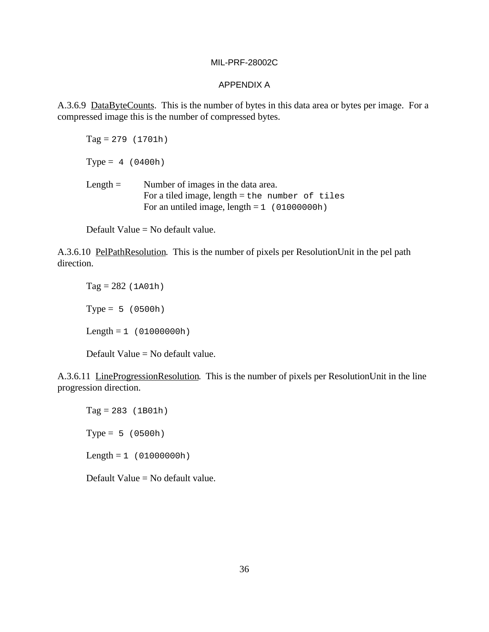#### APPENDIX A

A.3.6.9 DataByteCounts. This is the number of bytes in this data area or bytes per image. For a compressed image this is the number of compressed bytes.

 $Tag = 279$  (1701h)

 $Type = 4 (0400h)$ 

Length = Number of images in the data area. For a tiled image,  $length = the number of tiles$ For an untiled image, length  $= 1$  (01000000h)

Default Value = No default value.

A.3.6.10 PelPathResolution. This is the number of pixels per ResolutionUnit in the pel path direction.

 $Tag = 282 (1A01h)$  $Type = 5 (0500h)$  $Length = 1 (01000000h)$ 

Default Value = No default value.

A.3.6.11 LineProgressionResolution. This is the number of pixels per ResolutionUnit in the line progression direction.

 $Tag = 283$  (1B01h)  $Type = 5 (0500h)$  $Length = 1 (01000000h)$ 

Default Value = No default value.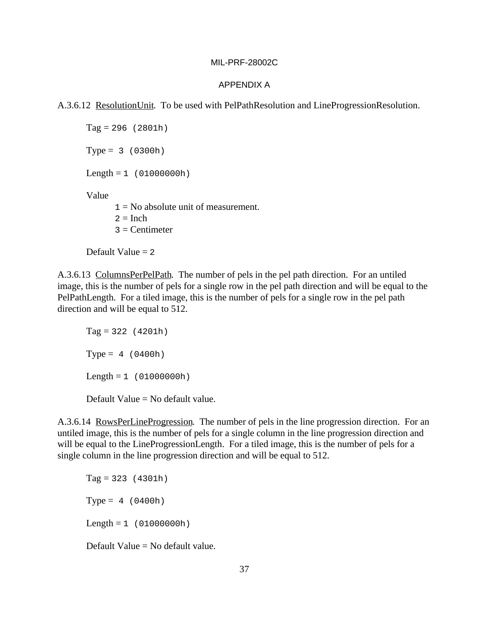#### APPENDIX A

A.3.6.12 ResolutionUnit. To be used with PelPathResolution and LineProgressionResolution.

 $Tag = 296 (2801h)$  $Type = 3 (0300h)$  $Length = 1 (01000000h)$ Value  $1 = No$  absolute unit of measurement.  $2 =$ Inch  $3$  = Centimeter

Default Value  $= 2$ 

A.3.6.13 ColumnsPerPelPath. The number of pels in the pel path direction. For an untiled image, this is the number of pels for a single row in the pel path direction and will be equal to the PelPathLength. For a tiled image, this is the number of pels for a single row in the pel path direction and will be equal to 512.

 $Tag = 322 (4201h)$  $Type = 4 (0400h)$  $Length = 1 (01000000h)$ 

Default Value = No default value.

A.3.6.14 RowsPerLineProgression. The number of pels in the line progression direction. For an untiled image, this is the number of pels for a single column in the line progression direction and will be equal to the LineProgressionLength. For a tiled image, this is the number of pels for a single column in the line progression direction and will be equal to 512.

 $Tag = 323 (4301h)$  $Type = 4 (0400h)$  $Length = 1 (01000000h)$ 

Default Value = No default value.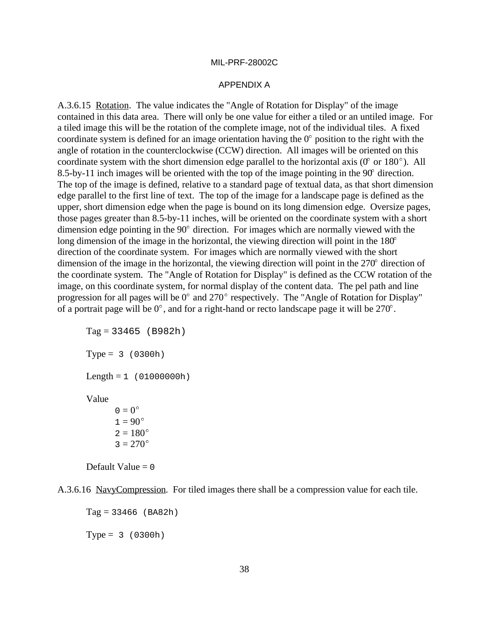#### APPENDIX A

A.3.6.15 Rotation. The value indicates the "Angle of Rotation for Display" of the image contained in this data area. There will only be one value for either a tiled or an untiled image. For a tiled image this will be the rotation of the complete image, not of the individual tiles. A fixed coordinate system is defined for an image orientation having the  $0^{\circ}$  position to the right with the angle of rotation in the counterclockwise (CCW) direction. All images will be oriented on this coordinate system with the short dimension edge parallel to the horizontal axis ( $0^{\circ}$  or  $180^{\circ}$ ). All 8.5-by-11 inch images will be oriented with the top of the image pointing in the  $90^{\circ}$  direction. The top of the image is defined, relative to a standard page of textual data, as that short dimension edge parallel to the first line of text. The top of the image for a landscape page is defined as the upper, short dimension edge when the page is bound on its long dimension edge. Oversize pages, those pages greater than 8.5-by-11 inches, will be oriented on the coordinate system with a short upper, short unnersion edge when the page is bound on its long unnersion edge. Oversize parties those pages greater than 8.5-by-11 inches, will be oriented on the coordinate system with a shall dimension edge pointing in t dimension edge pointing in the 90° direction. For images which are normally viewed with<br>dimension edge pointing in the 90° direction. For images which are normally viewed with<br>long dimension of the image in the horizontal, direction of the coordinate system. For images which are normally viewed with the short long dimension of the image in the horizontal, the viewing direction will point in the  $180^{\circ}$  direction of the coordinate system. For images which are normally viewed with the short dimension of the image in the horizo the coordinate system. The "Angle of Rotation for Display" is defined as the CCW rotation of the image, on this coordinate system, for normal display of the content data. The pel path and line image, on this coordinate system. The Angle of Rotation for Display is defined as the CCW foliation of the image, on this coordinate system, for normal display of the content data. The pel path and line progression for all mage, on this coordinate system, for hormal display of the content data. The per path and<br>progression for all pages will be  $0^{\circ}$  and  $270^{\circ}$  respectively. The "Angle of Rotation for D<br>of a portrait page will be  $0^{\circ$ 

 $Tag = 33465 (B982h)$  $Type = 3 (0300h)$  $Length = 1 (01000000h)$ Value  $0 = 0^{\circ}$  $0 = 0^{\circ}$ <br> $1 = 90^{\circ}$  $0 = 0$ <br>  $1 = 90^{\circ}$ <br>  $2 = 180^{\circ}$  $2 = 180^{\circ}$ <br> $3 = 270^{\circ}$ 

A.3.6.16 NavyCompression. For tiled images there shall be a compression value for each tile.

```
Tag = 33466 (BA82h)
Type = 3 (0300h)
```
Default Value  $= 0$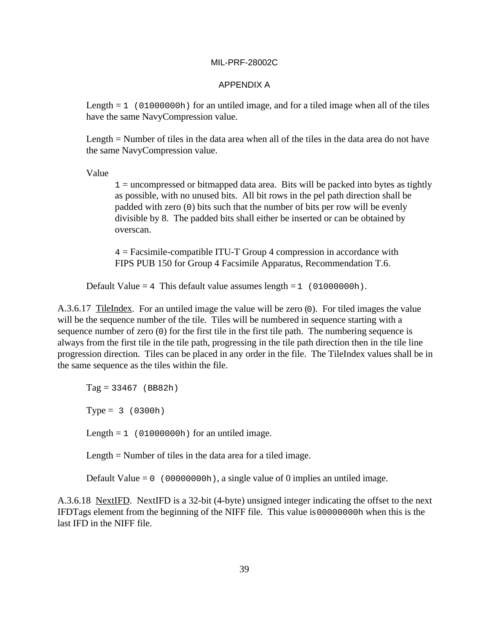#### APPENDIX A

Length  $= 1$  (01000000h) for an untiled image, and for a tiled image when all of the tiles have the same NavyCompression value.

Length = Number of tiles in the data area when all of the tiles in the data area do not have the same NavyCompression value.

Value

 $1 =$  uncompressed or bitmapped data area. Bits will be packed into bytes as tightly as possible, with no unused bits. All bit rows in the pel path direction shall be padded with zero (0) bits such that the number of bits per row will be evenly divisible by 8. The padded bits shall either be inserted or can be obtained by overscan.

4 = Facsimile-compatible ITU-T Group 4 compression in accordance with FIPS PUB 150 for Group 4 Facsimile Apparatus, Recommendation T.6.

Default Value = 4 This default value assumes length =  $1$  (01000000h).

A.3.6.17 TileIndex. For an untiled image the value will be zero (0). For tiled images the value will be the sequence number of the tile. Tiles will be numbered in sequence starting with a sequence number of zero (0) for the first tile in the first tile path. The numbering sequence is always from the first tile in the tile path, progressing in the tile path direction then in the tile line progression direction. Tiles can be placed in any order in the file. The TileIndex values shall be in the same sequence as the tiles within the file.

 $Tag = 33467$  (BB82h)  $Type = 3 (0300h)$ Length =  $1$  (01000000h) for an untiled image.

Length = Number of tiles in the data area for a tiled image.

Default Value =  $0 \left( 00000000h \right)$ , a single value of 0 implies an untiled image.

A.3.6.18 NextIFD. NextIFD is a 32-bit (4-byte) unsigned integer indicating the offset to the next IFDTags element from the beginning of the NIFF file. This value is 00000000h when this is the last IFD in the NIFF file.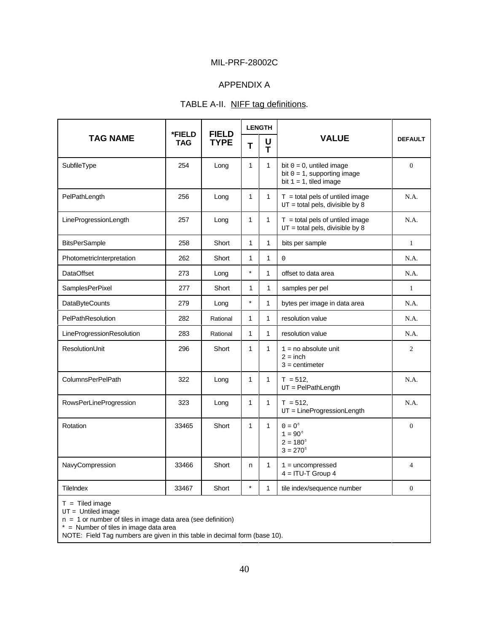### APPENDIX A

### TABLE A-II. NIFF tag definitions.

|                           | *FIELD     | <b>FIELD</b> | <b>LENGTH</b> |              |                                                                                            |                |
|---------------------------|------------|--------------|---------------|--------------|--------------------------------------------------------------------------------------------|----------------|
| <b>TAG NAME</b>           | <b>TAG</b> | <b>TYPE</b>  | T             | U<br>T       | <b>VALUE</b>                                                                               | <b>DEFAULT</b> |
| SubfileType               | 254        | Long         | $\mathbf{1}$  | $\mathbf{1}$ | bit $0 = 0$ , untiled image<br>bit $0 = 1$ , supporting image<br>bit $1 = 1$ , tiled image | $\theta$       |
| PelPathLength             | 256        | Long         | $\mathbf{1}$  | $\mathbf{1}$ | $T =$ total pels of untiled image<br>$UT = total$ pels, divisible by 8                     | N.A.           |
| LineProgressionLength     | 257        | Long         | $\mathbf{1}$  | $\mathbf{1}$ | $T =$ total pels of untiled image<br>$UT = total$ pels, divisible by 8                     | N.A.           |
| <b>BitsPerSample</b>      | 258        | Short        | 1             | $\mathbf{1}$ | bits per sample                                                                            | $\mathbf{1}$   |
| PhotometricInterpretation | 262        | Short        | 1             | $\mathbf{1}$ | $\mathbf 0$                                                                                | N.A.           |
| <b>DataOffset</b>         | 273        | Long         | $\star$       | 1            | offset to data area                                                                        | N.A.           |
| <b>SamplesPerPixel</b>    | 277        | Short        | 1             | $\mathbf{1}$ | samples per pel                                                                            | $\mathbf{1}$   |
| <b>DataByteCounts</b>     | 279        | Long         | $\star$       | $\mathbf{1}$ | bytes per image in data area                                                               | N.A.           |
| PelPathResolution         | 282        | Rational     | 1             | 1            | resolution value                                                                           | N.A.           |
| LineProgressionResolution | 283        | Rational     | $\mathbf{1}$  | $\mathbf{1}$ | resolution value                                                                           | N.A.           |
| ResolutionUnit            | 296        | Short        | 1             | $\mathbf{1}$ | $1 = no$ absolute unit<br>$2 = inch$<br>$3$ = centimeter                                   | 2              |
| <b>ColumnsPerPelPath</b>  | 322        | Long         | $\mathbf{1}$  | $\mathbf{1}$ | $T = 512.$<br>$UT = PelPathLength$                                                         | N.A.           |
| RowsPerLineProgression    | 323        | Long         | 1             | $\mathbf{1}$ | $T = 512$<br>$UT = LineProgramLength$                                                      | N.A.           |
| Rotation                  | 33465      | Short        | $\mathbf{1}$  | $\mathbf{1}$ | $0=0^\circ$<br>$1 = 90^{\circ}$<br>$2 = 180^{\circ}$<br>$3 = 270^{\circ}$                  | $\mathbf{0}$   |
| NavyCompression           | 33466      | Short        | n.            | $\mathbf{1}$ | $1 =$ uncompressed<br>$4 = ITU-T$ Group 4                                                  | $\overline{4}$ |
| <b>TileIndex</b>          | 33467      | Short        | $\star$       | $\mathbf{1}$ | tile index/sequence number                                                                 | $\mathbf{0}$   |

 $T =$  Tiled image

UT = Untiled image

n = 1 or number of tiles in image data area (see definition)

\* = Number of tiles in image data area

NOTE: Field Tag numbers are given in this table in decimal form (base 10).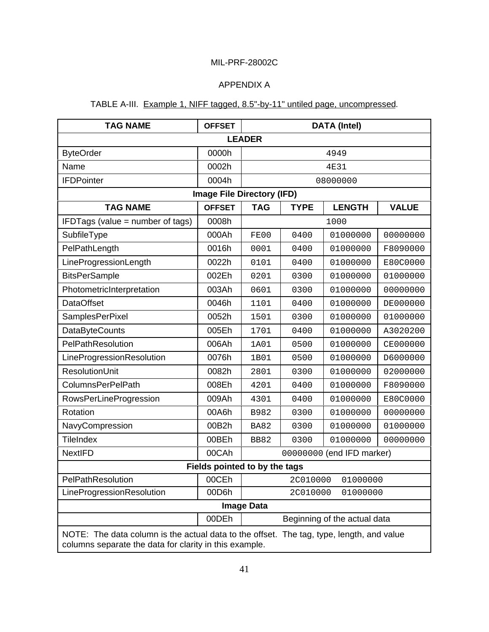## APPENDIX A

## TABLE A-III. Example 1, NIFF tagged, 8.5"-by-11" untiled page, uncompressed.

| <b>TAG NAME</b>                                                                                                                                    | <b>OFFSET</b>                     | <b>DATA (Intel)</b> |             |                              |              |  |  |
|----------------------------------------------------------------------------------------------------------------------------------------------------|-----------------------------------|---------------------|-------------|------------------------------|--------------|--|--|
| <b>LEADER</b>                                                                                                                                      |                                   |                     |             |                              |              |  |  |
| <b>ByteOrder</b>                                                                                                                                   | 0000h                             | 4949                |             |                              |              |  |  |
| Name                                                                                                                                               | 0002h                             |                     |             | <b>4E31</b>                  |              |  |  |
| <b>IFDPointer</b>                                                                                                                                  | 0004h                             |                     |             | 08000000                     |              |  |  |
|                                                                                                                                                    | <b>Image File Directory (IFD)</b> |                     |             |                              |              |  |  |
| <b>TAG NAME</b>                                                                                                                                    | <b>OFFSET</b>                     | <b>TAG</b>          | <b>TYPE</b> | <b>LENGTH</b>                | <b>VALUE</b> |  |  |
| IFDTags (value = number of tags)                                                                                                                   | 0008h                             |                     |             | 1000                         |              |  |  |
| SubfileType                                                                                                                                        | 000Ah                             | FE00                | 0400        | 01000000                     | 00000000     |  |  |
| PelPathLength                                                                                                                                      | 0016h                             | 0001                | 0400        | 01000000                     | F8090000     |  |  |
| LineProgressionLength                                                                                                                              | 0022h                             | 0101                | 0400        | 01000000                     | E80C0000     |  |  |
| <b>BitsPerSample</b>                                                                                                                               | 002Eh                             | 0201                | 0300        | 01000000                     | 01000000     |  |  |
| PhotometricInterpretation                                                                                                                          | 003Ah                             | 0601                | 0300        | 01000000                     | 00000000     |  |  |
| <b>DataOffset</b>                                                                                                                                  | 0046h                             | 1101                | 0400        | 01000000                     | DE000000     |  |  |
| SamplesPerPixel                                                                                                                                    | 0052h                             | 1501                | 0300        | 01000000                     | 01000000     |  |  |
| <b>DataByteCounts</b>                                                                                                                              | 005Eh                             | 1701                | 0400        | 01000000                     | A3020200     |  |  |
| PelPathResolution                                                                                                                                  | 006Ah                             | 1A01                | 0500        | 01000000                     | CE000000     |  |  |
| LineProgressionResolution                                                                                                                          | 0076h                             | 1B01                | 0500        | 01000000                     | D6000000     |  |  |
| <b>ResolutionUnit</b>                                                                                                                              | 0082h                             | 2801                | 0300        | 01000000                     | 02000000     |  |  |
| <b>ColumnsPerPelPath</b>                                                                                                                           | 008Eh                             | 4201                | 0400        | 01000000                     | F8090000     |  |  |
| <b>RowsPerLineProgression</b>                                                                                                                      | 009Ah                             | 4301                | 0400        | 01000000                     | E80C0000     |  |  |
| Rotation                                                                                                                                           | 00A6h                             | B982                | 0300        | 01000000                     | 00000000     |  |  |
| NavyCompression                                                                                                                                    | 00B2h                             | <b>BA82</b>         | 0300        | 01000000                     | 01000000     |  |  |
| <b>TileIndex</b>                                                                                                                                   | 00BEh                             | <b>BB82</b>         | 0300        | 01000000                     | 00000000     |  |  |
| <b>NextlFD</b>                                                                                                                                     | 00CAh                             |                     |             | 00000000 (end IFD marker)    |              |  |  |
|                                                                                                                                                    | Fields pointed to by the tags     |                     |             |                              |              |  |  |
| PelPathResolution                                                                                                                                  | 00CEh                             |                     | 2C010000    | 01000000                     |              |  |  |
| LineProgressionResolution                                                                                                                          | 00D6h                             |                     | 2C010000    | 01000000                     |              |  |  |
|                                                                                                                                                    |                                   | <b>Image Data</b>   |             |                              |              |  |  |
|                                                                                                                                                    | 00DEh                             |                     |             | Beginning of the actual data |              |  |  |
| NOTE: The data column is the actual data to the offset. The tag, type, length, and value<br>columns separate the data for clarity in this example. |                                   |                     |             |                              |              |  |  |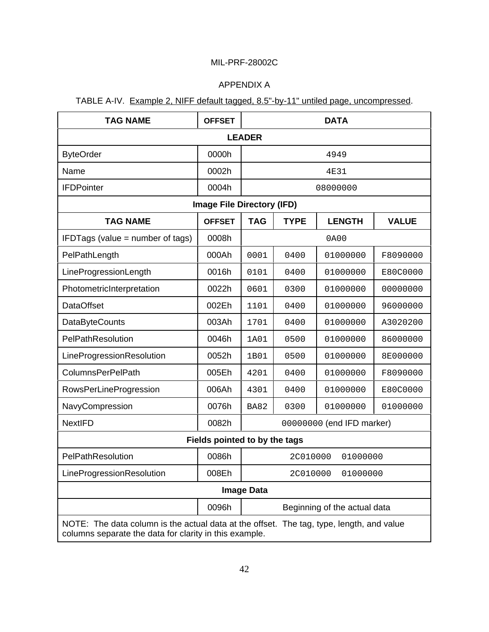## APPENDIX A

## TABLE A-IV. Example 2, NIFF default tagged, 8.5"-by-11" untiled page, uncompressed.

| <b>TAG NAME</b>                                                                                                                                    | <b>OFFSET</b>                     |                          | <b>DATA</b> |                              |          |  |  |
|----------------------------------------------------------------------------------------------------------------------------------------------------|-----------------------------------|--------------------------|-------------|------------------------------|----------|--|--|
| <b>LEADER</b>                                                                                                                                      |                                   |                          |             |                              |          |  |  |
| <b>ByteOrder</b>                                                                                                                                   | 0000h                             |                          | 4949        |                              |          |  |  |
| Name                                                                                                                                               | 0002h                             |                          |             | 4E31                         |          |  |  |
| <b>IFDPointer</b>                                                                                                                                  | 0004h                             |                          |             | 08000000                     |          |  |  |
|                                                                                                                                                    | <b>Image File Directory (IFD)</b> |                          |             |                              |          |  |  |
| <b>TYPE</b><br><b>LENGTH</b><br><b>TAG NAME</b><br><b>OFFSET</b><br><b>TAG</b><br><b>VALUE</b>                                                     |                                   |                          |             |                              |          |  |  |
| IFDTags (value = number of tags)                                                                                                                   | 0008h                             |                          |             | 0A00                         |          |  |  |
| PelPathLength                                                                                                                                      | 000Ah                             | 0001                     | 0400        | 01000000                     | F8090000 |  |  |
| LineProgressionLength                                                                                                                              | 0016h                             | 0101                     | 0400        | 01000000                     | E80C0000 |  |  |
| PhotometricInterpretation                                                                                                                          | 0022h                             | 0601                     | 0300        | 01000000                     | 00000000 |  |  |
| <b>DataOffset</b>                                                                                                                                  | 002Eh                             | 1101                     | 0400        | 01000000                     | 96000000 |  |  |
| <b>DataByteCounts</b>                                                                                                                              | 003Ah                             | 1701                     | 0400        | 01000000                     | A3020200 |  |  |
| PelPathResolution                                                                                                                                  | 0046h                             | 1A01                     | 0500        | 01000000                     | 86000000 |  |  |
| LineProgressionResolution                                                                                                                          | 0052h                             | 01000000<br>1B01<br>0500 |             |                              | 8E000000 |  |  |
| <b>ColumnsPerPelPath</b>                                                                                                                           | 005Eh                             | 4201                     | 0400        | 01000000                     | F8090000 |  |  |
| <b>RowsPerLineProgression</b>                                                                                                                      | 006Ah                             | 4301                     | 0400        | 01000000                     | E80C0000 |  |  |
| NavyCompression                                                                                                                                    | 0076h                             | <b>BA82</b>              | 0300        | 01000000                     | 01000000 |  |  |
| <b>NextlFD</b>                                                                                                                                     | 0082h                             |                          |             | 00000000 (end IFD marker)    |          |  |  |
|                                                                                                                                                    | Fields pointed to by the tags     |                          |             |                              |          |  |  |
| PelPathResolution                                                                                                                                  | 0086h                             | 2C010000<br>01000000     |             |                              |          |  |  |
| LineProgressionResolution                                                                                                                          | 008Eh                             |                          | 2C010000    | 01000000                     |          |  |  |
|                                                                                                                                                    |                                   | <b>Image Data</b>        |             |                              |          |  |  |
|                                                                                                                                                    | 0096h                             |                          |             | Beginning of the actual data |          |  |  |
| NOTE: The data column is the actual data at the offset. The tag, type, length, and value<br>columns separate the data for clarity in this example. |                                   |                          |             |                              |          |  |  |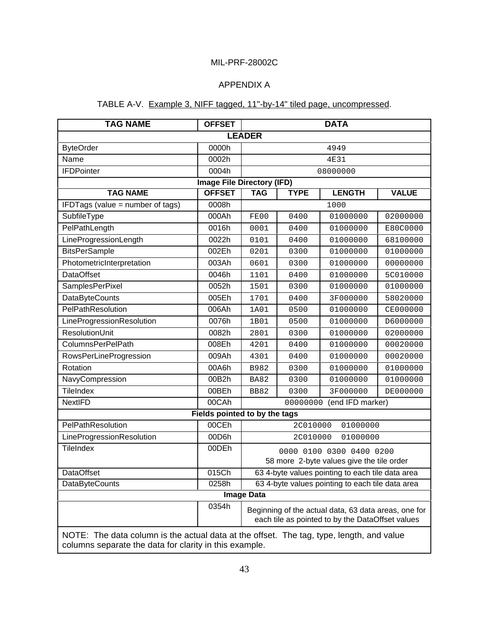### APPENDIX A

### TABLE A-V. Example 3, NIFF tagged, 11"-by-14" tiled page, uncompressed.

| <b>TAG NAME</b>                                                                                                                                    | <b>OFFSET</b>                 | <b>DATA</b>                       |             |                                                      |              |  |  |  |
|----------------------------------------------------------------------------------------------------------------------------------------------------|-------------------------------|-----------------------------------|-------------|------------------------------------------------------|--------------|--|--|--|
| <b>LEADER</b>                                                                                                                                      |                               |                                   |             |                                                      |              |  |  |  |
| <b>ByteOrder</b>                                                                                                                                   | 0000h                         | 4949                              |             |                                                      |              |  |  |  |
| Name                                                                                                                                               | 0002h                         |                                   | 4E31        |                                                      |              |  |  |  |
| <b>IFDPointer</b>                                                                                                                                  | 0004h                         |                                   |             | 08000000                                             |              |  |  |  |
|                                                                                                                                                    |                               | <b>Image File Directory (IFD)</b> |             |                                                      |              |  |  |  |
| <b>TAG NAME</b>                                                                                                                                    | <b>OFFSET</b>                 | <b>TAG</b>                        | <b>TYPE</b> | <b>LENGTH</b>                                        | <b>VALUE</b> |  |  |  |
| IFDTags (value = number of tags)                                                                                                                   | 0008h                         |                                   |             | 1000                                                 |              |  |  |  |
| SubfileType                                                                                                                                        | 000Ah                         | FE00                              | 0400        | 01000000                                             | 02000000     |  |  |  |
| PelPathLength                                                                                                                                      | 0016h                         | 0001                              | 0400        | 01000000                                             | E80C0000     |  |  |  |
| LineProgressionLength                                                                                                                              | 0022h                         | 0101                              | 0400        | 01000000                                             | 68100000     |  |  |  |
| <b>BitsPerSample</b>                                                                                                                               | 002Eh                         | 0201                              | 0300        | 01000000                                             | 01000000     |  |  |  |
| PhotometricInterpretation                                                                                                                          | 003Ah                         | 0601                              | 0300        | 01000000                                             | 00000000     |  |  |  |
| <b>DataOffset</b>                                                                                                                                  | 0046h                         | 1101                              | 0400        | 01000000                                             | 5C010000     |  |  |  |
| SamplesPerPixel                                                                                                                                    | 0052h                         | 1501                              | 0300        | 01000000                                             | 01000000     |  |  |  |
| <b>DataByteCounts</b>                                                                                                                              | 005Eh                         | 1701                              | 0400        | 3F000000                                             | 58020000     |  |  |  |
| PelPathResolution                                                                                                                                  | 006Ah                         | 1A01                              | 0500        | 01000000                                             | CE000000     |  |  |  |
| LineProgressionResolution                                                                                                                          | 0076h                         | 1B01                              | 0500        | 01000000                                             | D6000000     |  |  |  |
| <b>ResolutionUnit</b>                                                                                                                              | 0082h                         | 2801                              | 0300        | 01000000                                             | 02000000     |  |  |  |
| ColumnsPerPelPath                                                                                                                                  | 008Eh                         | 4201                              | 0400        | 01000000                                             | 00020000     |  |  |  |
| <b>RowsPerLineProgression</b>                                                                                                                      | 009Ah                         | 4301                              | 0400        | 01000000                                             | 00020000     |  |  |  |
| Rotation                                                                                                                                           | 00A6h                         | B982                              | 0300        | 01000000                                             | 01000000     |  |  |  |
| NavyCompression                                                                                                                                    | 00B2h                         | <b>BA82</b>                       | 0300        | 01000000                                             | 01000000     |  |  |  |
| <b>TileIndex</b>                                                                                                                                   | 00BEh                         | <b>BB82</b>                       | 0300        | 3F000000                                             | DE000000     |  |  |  |
| <b>NextlFD</b>                                                                                                                                     | 00CAh                         |                                   | 00000000    | (end IFD marker)                                     |              |  |  |  |
|                                                                                                                                                    | Fields pointed to by the tags |                                   |             |                                                      |              |  |  |  |
| PelPathResolution                                                                                                                                  | 00CEh                         |                                   | 2C010000    | 01000000                                             |              |  |  |  |
| LineProgressionResolution                                                                                                                          | 00D6h                         |                                   | 2C010000    | 01000000                                             |              |  |  |  |
| <b>TileIndex</b>                                                                                                                                   | 00DEh                         |                                   |             | 0000 0100 0300 0400 0200                             |              |  |  |  |
|                                                                                                                                                    |                               |                                   |             | 58 more 2-byte values give the tile order            |              |  |  |  |
| <b>DataOffset</b>                                                                                                                                  | 015Ch                         |                                   |             | 63 4-byte values pointing to each tile data area     |              |  |  |  |
| <b>DataByteCounts</b>                                                                                                                              | 0258h                         |                                   |             | 63 4-byte values pointing to each tile data area     |              |  |  |  |
|                                                                                                                                                    |                               | <b>Image Data</b>                 |             |                                                      |              |  |  |  |
|                                                                                                                                                    | 0354h                         |                                   |             | Beginning of the actual data, 63 data areas, one for |              |  |  |  |
|                                                                                                                                                    |                               |                                   |             | each tile as pointed to by the DataOffset values     |              |  |  |  |
| NOTE: The data column is the actual data at the offset. The tag, type, length, and value<br>columns separate the data for clarity in this example. |                               |                                   |             |                                                      |              |  |  |  |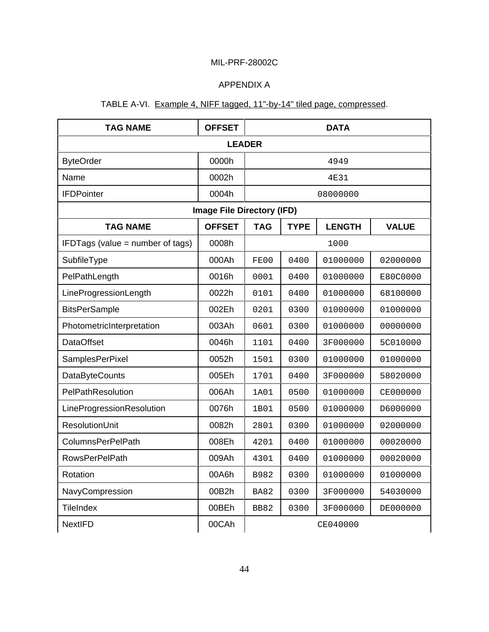## APPENDIX A

## TABLE A-VI. Example 4, NIFF tagged, 11"-by-14" tiled page, compressed.

| TAG NAME                                                                                       | <b>OFFSET</b>                     |             |      | <b>DATA</b>     |          |  |  |
|------------------------------------------------------------------------------------------------|-----------------------------------|-------------|------|-----------------|----------|--|--|
| <b>LEADER</b>                                                                                  |                                   |             |      |                 |          |  |  |
| <b>ByteOrder</b>                                                                               | 0000h                             |             | 4949 |                 |          |  |  |
| Name                                                                                           | 0002h                             |             |      | 4E31            |          |  |  |
| <b>IFDPointer</b>                                                                              | 0004h                             |             |      | 08000000        |          |  |  |
|                                                                                                | <b>Image File Directory (IFD)</b> |             |      |                 |          |  |  |
| <b>OFFSET</b><br><b>TAG</b><br><b>TYPE</b><br><b>LENGTH</b><br><b>TAG NAME</b><br><b>VALUE</b> |                                   |             |      |                 |          |  |  |
| IFDTags (value = number of tags)                                                               | 0008h                             |             |      | 1000            |          |  |  |
| SubfileType                                                                                    | 000Ah                             | FE00        | 0400 | 01000000        | 02000000 |  |  |
| PelPathLength                                                                                  | 0016h                             | 0001        | 0400 | 01000000        | E80C0000 |  |  |
| LineProgressionLength                                                                          | 0022h                             | 0101        | 0400 | 01000000        | 68100000 |  |  |
| <b>BitsPerSample</b>                                                                           | 002Eh                             | 0201        | 0300 | 01000000        | 01000000 |  |  |
| PhotometricInterpretation                                                                      | 003Ah                             | 0601        | 0300 | 01000000        | 00000000 |  |  |
| <b>DataOffset</b>                                                                              | 0046h                             | 1101        | 0400 | 3F000000        | 5C010000 |  |  |
| SamplesPerPixel                                                                                | 0052h                             | 1501        | 0300 | 01000000        | 01000000 |  |  |
| <b>DataByteCounts</b>                                                                          | 005Eh                             | 1701        | 0400 | 3F000000        | 58020000 |  |  |
| PelPathResolution                                                                              | 006Ah                             | 1A01        | 0500 | 01000000        | CE000000 |  |  |
| LineProgressionResolution                                                                      | 0076h                             | 1B01        | 0500 | 01000000        | D6000000 |  |  |
| <b>ResolutionUnit</b>                                                                          | 0082h                             | 2801        | 0300 | 01000000        | 02000000 |  |  |
| <b>ColumnsPerPelPath</b>                                                                       | 008Eh                             | 4201        | 0400 | 01000000        | 00020000 |  |  |
| <b>RowsPerPelPath</b>                                                                          | 009Ah                             | 4301        | 0400 | 01000000        | 00020000 |  |  |
| Rotation                                                                                       | 00A6h                             | B982        | 0300 | 01000000        | 01000000 |  |  |
| NavyCompression                                                                                | 00B2h                             | <b>BA82</b> | 0300 | 3F000000        | 54030000 |  |  |
| <b>TileIndex</b>                                                                               | 00BEh                             | <b>BB82</b> | 0300 | 3F000000        | DE000000 |  |  |
| <b>NextlFD</b>                                                                                 | 00CAh                             |             |      | <b>CE040000</b> |          |  |  |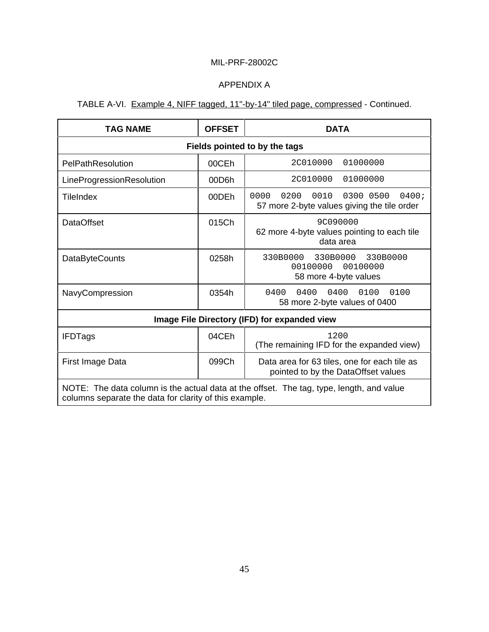## APPENDIX A

## TABLE A-VI. Example 4, NIFF tagged, 11"-by-14" tiled page, compressed - Continued.

| <b>TAG NAME</b>                                                                                                                                    | <b>OFFSET</b>                 | <b>DATA</b>                                                                               |  |  |  |  |
|----------------------------------------------------------------------------------------------------------------------------------------------------|-------------------------------|-------------------------------------------------------------------------------------------|--|--|--|--|
|                                                                                                                                                    | Fields pointed to by the tags |                                                                                           |  |  |  |  |
| PelPathResolution                                                                                                                                  | 00CEh                         | 2C010000<br>01000000                                                                      |  |  |  |  |
| LineProgressionResolution                                                                                                                          | 00D6h                         | 2C010000<br>01000000                                                                      |  |  |  |  |
| <b>TileIndex</b>                                                                                                                                   | 00DEh                         | 0000<br>0200<br>0010<br>0300 0500<br>0400;<br>57 more 2-byte values giving the tile order |  |  |  |  |
| <b>DataOffset</b>                                                                                                                                  | 015Ch                         | 9C090000<br>62 more 4-byte values pointing to each tile<br>data area                      |  |  |  |  |
| <b>DataByteCounts</b>                                                                                                                              | 0258h                         | 330B0000<br>330B0000<br>330B0000<br>00100000<br>00100000<br>58 more 4-byte values         |  |  |  |  |
| NavyCompression                                                                                                                                    | 0354h                         | 0400<br>0400<br>0100<br>0100<br>0400<br>58 more 2-byte values of 0400                     |  |  |  |  |
|                                                                                                                                                    |                               | Image File Directory (IFD) for expanded view                                              |  |  |  |  |
| <b>IFDTags</b>                                                                                                                                     | 04CEh                         | 1200<br>(The remaining IFD for the expanded view)                                         |  |  |  |  |
| First Image Data                                                                                                                                   | 099Ch                         | Data area for 63 tiles, one for each tile as<br>pointed to by the DataOffset values       |  |  |  |  |
| NOTE: The data column is the actual data at the offset. The tag, type, length, and value<br>columns separate the data for clarity of this example. |                               |                                                                                           |  |  |  |  |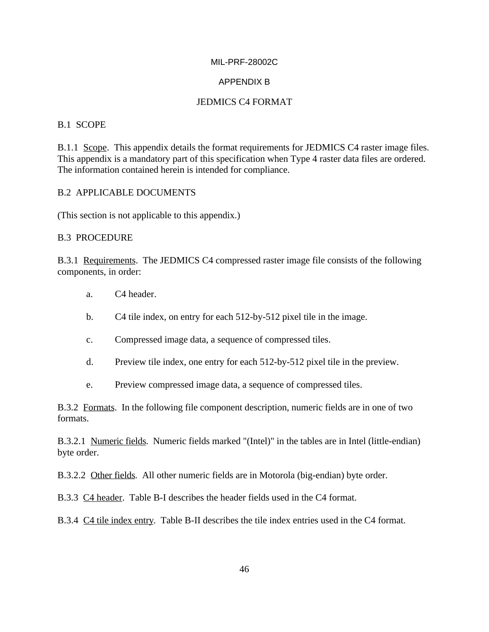### APPENDIX B

### JEDMICS C4 FORMAT

### B.1 SCOPE

B.1.1 Scope. This appendix details the format requirements for JEDMICS C4 raster image files. This appendix is a mandatory part of this specification when Type 4 raster data files are ordered. The information contained herein is intended for compliance.

### B.2 APPLICABLE DOCUMENTS

(This section is not applicable to this appendix.)

### B.3 PROCEDURE

B.3.1 Requirements. The JEDMICS C4 compressed raster image file consists of the following components, in order:

- a. C4 header.
- b. C4 tile index, on entry for each 512-by-512 pixel tile in the image.
- c. Compressed image data, a sequence of compressed tiles.
- d. Preview tile index, one entry for each 512-by-512 pixel tile in the preview.
- e. Preview compressed image data, a sequence of compressed tiles.

B.3.2 Formats. In the following file component description, numeric fields are in one of two formats.

B.3.2.1 Numeric fields. Numeric fields marked "(Intel)" in the tables are in Intel (little-endian) byte order.

B.3.2.2 Other fields. All other numeric fields are in Motorola (big-endian) byte order.

B.3.3 C4 header. Table B-I describes the header fields used in the C4 format.

B.3.4 C4 tile index entry. Table B-II describes the tile index entries used in the C4 format.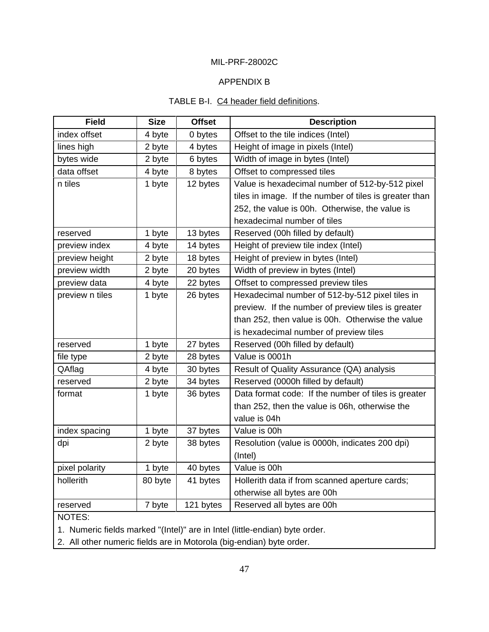### APPENDIX B

### TABLE B-I. C4 header field definitions.

| <b>Field</b>    | <b>Size</b> | <b>Offset</b> | <b>Description</b>                                     |
|-----------------|-------------|---------------|--------------------------------------------------------|
| index offset    | 4 byte      | 0 bytes       | Offset to the tile indices (Intel)                     |
| lines high      | 2 byte      | 4 bytes       | Height of image in pixels (Intel)                      |
| bytes wide      | 2 byte      | 6 bytes       | Width of image in bytes (Intel)                        |
| data offset     | 4 byte      | 8 bytes       | Offset to compressed tiles                             |
| n tiles         | 1 byte      | 12 bytes      | Value is hexadecimal number of 512-by-512 pixel        |
|                 |             |               | tiles in image. If the number of tiles is greater than |
|                 |             |               | 252, the value is 00h. Otherwise, the value is         |
|                 |             |               | hexadecimal number of tiles                            |
| reserved        | 1 byte      | 13 bytes      | Reserved (00h filled by default)                       |
| preview index   | 4 byte      | 14 bytes      | Height of preview tile index (Intel)                   |
| preview height  | 2 byte      | 18 bytes      | Height of preview in bytes (Intel)                     |
| preview width   | 2 byte      | 20 bytes      | Width of preview in bytes (Intel)                      |
| preview data    | 4 byte      | 22 bytes      | Offset to compressed preview tiles                     |
| preview n tiles | 1 byte      | 26 bytes      | Hexadecimal number of 512-by-512 pixel tiles in        |
|                 |             |               | preview. If the number of preview tiles is greater     |
|                 |             |               | than 252, then value is 00h. Otherwise the value       |
|                 |             |               | is hexadecimal number of preview tiles                 |
| reserved        | 1 byte      | 27 bytes      | Reserved (00h filled by default)                       |
| file type       | 2 byte      | 28 bytes      | Value is 0001h                                         |
| QAflag          | 4 byte      | 30 bytes      | Result of Quality Assurance (QA) analysis              |
| reserved        | 2 byte      | 34 bytes      | Reserved (0000h filled by default)                     |
| format          | 1 byte      | 36 bytes      | Data format code: If the number of tiles is greater    |
|                 |             |               | than 252, then the value is 06h, otherwise the         |
|                 |             |               | value is 04h                                           |
| index spacing   | 1 byte      | 37 bytes      | Value is 00h                                           |
| dpi             | 2 byte      | 38 bytes      | Resolution (value is 0000h, indicates 200 dpi)         |
|                 |             |               | (Intel)                                                |
| pixel polarity  | 1 byte      | 40 bytes      | Value is 00h                                           |
| hollerith       | 80 byte     | 41 bytes      | Hollerith data if from scanned aperture cards;         |
|                 |             |               | otherwise all bytes are 00h                            |
| reserved        | 7 byte      | 121 bytes     | Reserved all bytes are 00h                             |
| NOTES:          |             |               |                                                        |

1. Numeric fields marked "(Intel)" are in Intel (little-endian) byte order.

2. All other numeric fields are in Motorola (big-endian) byte order.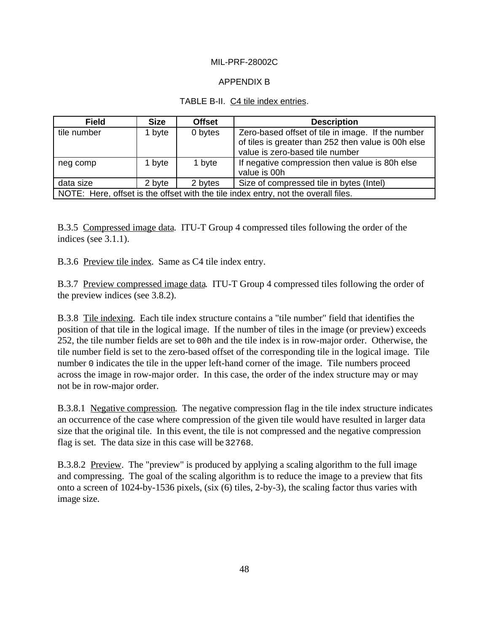### APPENDIX B

### TABLE B-II. C4 tile index entries.

| <b>Field</b>                                                                       | <b>Size</b> | <b>Offset</b> | <b>Description</b>                                                                                                                          |  |
|------------------------------------------------------------------------------------|-------------|---------------|---------------------------------------------------------------------------------------------------------------------------------------------|--|
| tile number                                                                        | 1 byte      | 0 bytes       | Zero-based offset of tile in image. If the number<br>of tiles is greater than 252 then value is 00h else<br>value is zero-based tile number |  |
| neg comp                                                                           | 1 byte      | 1 byte        | If negative compression then value is 80h else<br>value is 00h                                                                              |  |
| data size                                                                          | 2 byte      | 2 bytes       | Size of compressed tile in bytes (Intel)                                                                                                    |  |
| NOTE: Here, offset is the offset with the tile index entry, not the overall files. |             |               |                                                                                                                                             |  |

B.3.5 Compressed image data. ITU-T Group 4 compressed tiles following the order of the indices (see 3.1.1).

B.3.6 Preview tile index. Same as C4 tile index entry.

B.3.7 Preview compressed image data. ITU-T Group 4 compressed tiles following the order of the preview indices (see 3.8.2).

B.3.8 Tile indexing. Each tile index structure contains a "tile number" field that identifies the position of that tile in the logical image. If the number of tiles in the image (or preview) exceeds 252, the tile number fields are set to 00h and the tile index is in row-major order. Otherwise, the tile number field is set to the zero-based offset of the corresponding tile in the logical image. Tile number 0 indicates the tile in the upper left-hand corner of the image. Tile numbers proceed across the image in row-major order. In this case, the order of the index structure may or may not be in row-major order.

B.3.8.1 Negative compression. The negative compression flag in the tile index structure indicates an occurrence of the case where compression of the given tile would have resulted in larger data size that the original tile. In this event, the tile is not compressed and the negative compression flag is set. The data size in this case will be 32768.

B.3.8.2 Preview. The "preview" is produced by applying a scaling algorithm to the full image and compressing. The goal of the scaling algorithm is to reduce the image to a preview that fits onto a screen of 1024-by-1536 pixels, (six (6) tiles, 2-by-3), the scaling factor thus varies with image size.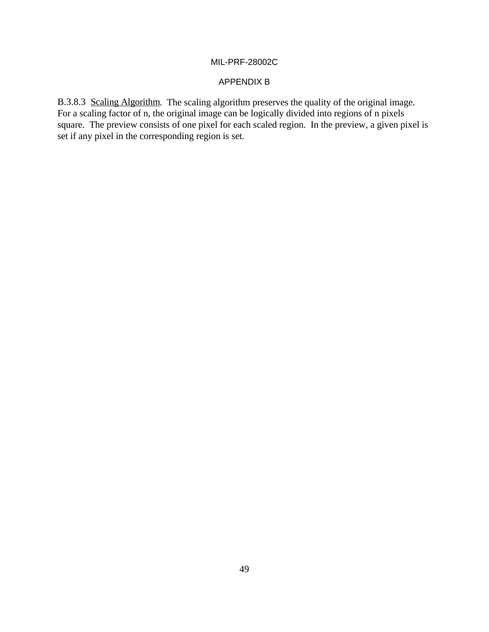### APPENDIX B

B.3.8.3 Scaling Algorithm. The scaling algorithm preserves the quality of the original image. For a scaling factor of n, the original image can be logically divided into regions of n pixels square. The preview consists of one pixel for each scaled region. In the preview, a given pixel is set if any pixel in the corresponding region is set.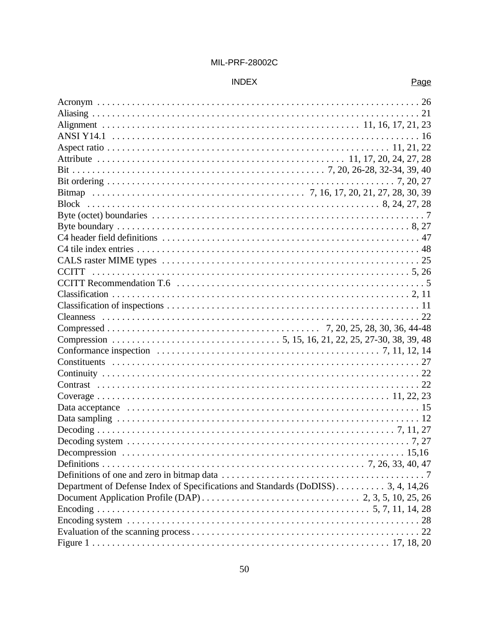### **INDEX**

| Department of Defense Index of Specifications and Standards (DoDISS) 3, 4, 14,26 |  |
|----------------------------------------------------------------------------------|--|
|                                                                                  |  |
|                                                                                  |  |
|                                                                                  |  |
|                                                                                  |  |
|                                                                                  |  |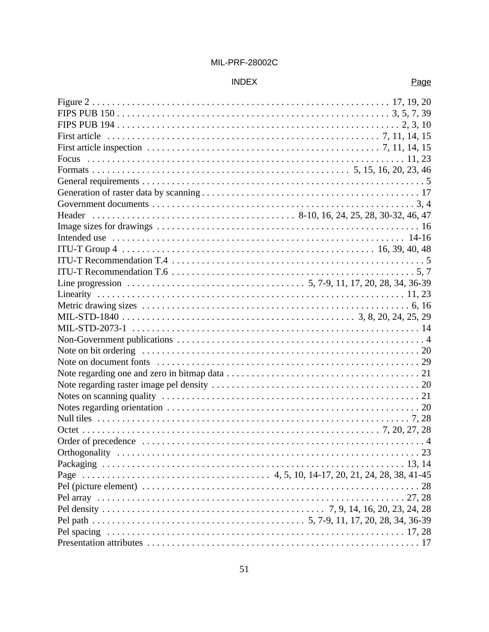## $INDEX$

| $\ldots \ldots \ldots \ldots \ldots \ldots \ldots \ldots \ldots \ldots \ldots \ldots \ldots \quad 8-10, 16, 24, 25, 28, 30-32, 46, 47$<br>Header |    |
|--------------------------------------------------------------------------------------------------------------------------------------------------|----|
|                                                                                                                                                  |    |
|                                                                                                                                                  |    |
|                                                                                                                                                  |    |
|                                                                                                                                                  |    |
|                                                                                                                                                  |    |
|                                                                                                                                                  |    |
|                                                                                                                                                  |    |
|                                                                                                                                                  |    |
|                                                                                                                                                  |    |
|                                                                                                                                                  |    |
|                                                                                                                                                  |    |
|                                                                                                                                                  |    |
|                                                                                                                                                  |    |
|                                                                                                                                                  |    |
|                                                                                                                                                  |    |
|                                                                                                                                                  |    |
|                                                                                                                                                  |    |
|                                                                                                                                                  |    |
|                                                                                                                                                  |    |
|                                                                                                                                                  |    |
| Orthogonality                                                                                                                                    | 23 |
|                                                                                                                                                  |    |
|                                                                                                                                                  |    |
|                                                                                                                                                  |    |
|                                                                                                                                                  |    |
|                                                                                                                                                  |    |
|                                                                                                                                                  |    |
|                                                                                                                                                  |    |
|                                                                                                                                                  |    |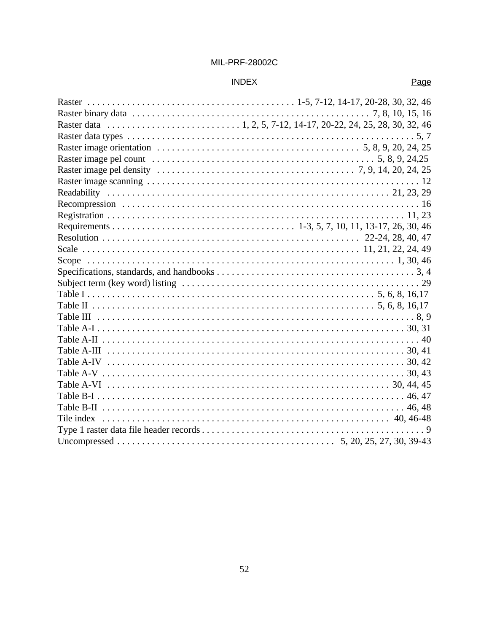### **INDEX**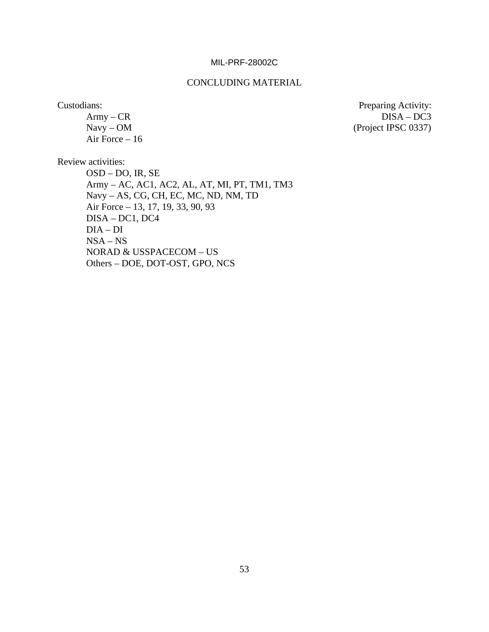#### CONCLUDING MATERIAL

Air Force – 16

Custodians: Preparing Activity: Army – CR DISA – DC3 Navy – OM (Project IPSC 0337)

Review activities:

OSD – DO, IR, SE Army – AC, AC1, AC2, AL, AT, MI, PT, TM1, TM3 Navy – AS, CG, CH, EC, MC, ND, NM, TD Air Force – 13, 17, 19, 33, 90, 93 DISA – DC1, DC4 DIA – DI NSA – NS NORAD & USSPACECOM – US Others – DOE, DOT-OST, GPO, NCS